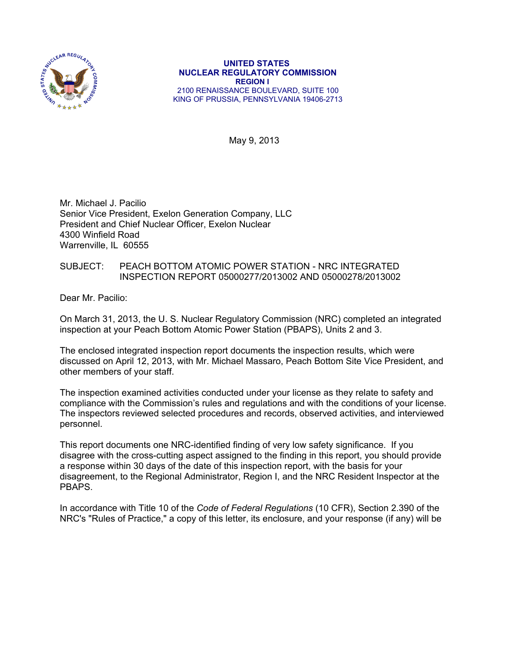

#### **UNITED STATES NUCLEAR REGULATORY COMMISSION REGION I**  2100 RENAISSANCE BOULEVARD, SUITE 100 KING OF PRUSSIA, PENNSYLVANIA 19406-2713

May 9, 2013

Mr. Michael J. Pacilio Senior Vice President, Exelon Generation Company, LLC President and Chief Nuclear Officer, Exelon Nuclear 4300 Winfield Road Warrenville, IL 60555

# SUBJECT: PEACH BOTTOM ATOMIC POWER STATION - NRC INTEGRATED INSPECTION REPORT 05000277/2013002 AND 05000278/2013002

Dear Mr. Pacilio:

On March 31, 2013, the U. S. Nuclear Regulatory Commission (NRC) completed an integrated inspection at your Peach Bottom Atomic Power Station (PBAPS), Units 2 and 3.

The enclosed integrated inspection report documents the inspection results, which were discussed on April 12, 2013, with Mr. Michael Massaro, Peach Bottom Site Vice President, and other members of your staff.

The inspection examined activities conducted under your license as they relate to safety and compliance with the Commission's rules and regulations and with the conditions of your license. The inspectors reviewed selected procedures and records, observed activities, and interviewed personnel.

This report documents one NRC-identified finding of very low safety significance. If you disagree with the cross-cutting aspect assigned to the finding in this report, you should provide a response within 30 days of the date of this inspection report, with the basis for your disagreement, to the Regional Administrator, Region I, and the NRC Resident Inspector at the PBAPS.

In accordance with Title 10 of the *Code of Federal Regulations* (10 CFR), Section 2.390 of the NRC's "Rules of Practice," a copy of this letter, its enclosure, and your response (if any) will be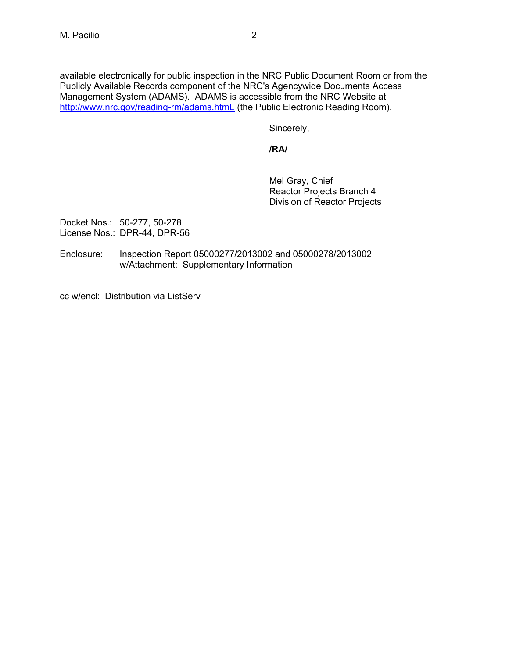available electronically for public inspection in the NRC Public Document Room or from the Publicly Available Records component of the NRC's Agencywide Documents Access Management System (ADAMS). ADAMS is accessible from the NRC Website at http://www.nrc.gov/reading-rm/adams.html (the Public Electronic Reading Room).

Sincerely,

**/RA/** 

Mel Gray, Chief Reactor Projects Branch 4 Division of Reactor Projects

Docket Nos.: 50-277, 50-278 License Nos.: DPR-44, DPR-56

Enclosure: Inspection Report 05000277/2013002 and 05000278/2013002 w/Attachment: Supplementary Information

cc w/encl: Distribution via ListServ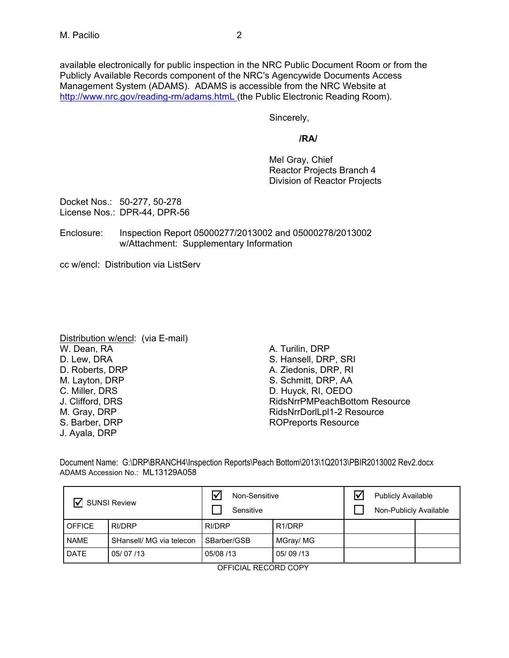Sincerely,

**/RA/** 

Mel Gray, Chief Reactor Projects Branch 4 Division of Reactor Projects

Docket Nos.: 50-277, 50-278 License Nos.: DPR-44, DPR-56

Enclosure: Inspection Report 05000277/2013002 and 05000278/2013002 w/Attachment: Supplementary Information

cc w/encl: Distribution via ListServ

Distribution w/encl: (via E-mail) W. Dean, RA D. Lew, DRA D. Roberts, DRP M. Layton, DRP C. Miller, DRS J. Clifford, DRS M. Gray, DRP S. Barber, DRP J. Ayala, DRP

A. Turilin, DRP S. Hansell, DRP, SRI A. Ziedonis, DRP, RI S. Schmitt, DRP, AA D. Huyck, RI, OEDO RidsNrrPMPeachBottom Resource RidsNrrDorlLpl1-2 Resource ROPreports Resource

Document Name: G:\DRP\BRANCH4\Inspection Reports\Peach Bottom\2013\1Q2013\PBIR2013002 Rev2.docx ADAMS Accession No.: ML13129A058

| $\triangledown$ SUNSI Review |                          | Non-Sensitive<br>Sensitive |                     | l۷ | <b>Publicly Available</b><br>Non-Publicly Available |  |
|------------------------------|--------------------------|----------------------------|---------------------|----|-----------------------------------------------------|--|
| <b>OFFICE</b>                | RI/DRP                   | RI/DRP                     | R <sub>1</sub> /DRP |    |                                                     |  |
| <b>NAME</b>                  | SHansell/ MG via telecon | SBarber/GSB                | MGray/MG            |    |                                                     |  |
| <b>DATE</b>                  | 05/07/13                 | 05/08 /13                  | 05/09/13            |    |                                                     |  |

OFFICIAL RECORD COPY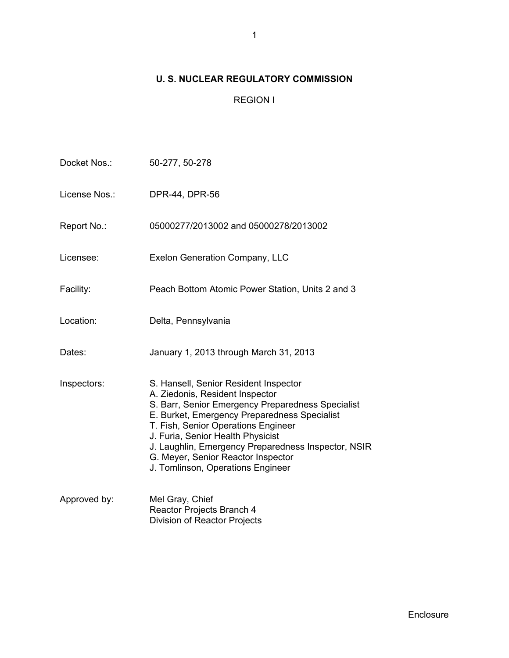# **U. S. NUCLEAR REGULATORY COMMISSION**

REGION I

| Docket Nos.:  | 50-277, 50-278                                                                                                                                                                                                                                                                                                                                                                              |
|---------------|---------------------------------------------------------------------------------------------------------------------------------------------------------------------------------------------------------------------------------------------------------------------------------------------------------------------------------------------------------------------------------------------|
| License Nos.: | DPR-44, DPR-56                                                                                                                                                                                                                                                                                                                                                                              |
| Report No.:   | 05000277/2013002 and 05000278/2013002                                                                                                                                                                                                                                                                                                                                                       |
| Licensee:     | Exelon Generation Company, LLC                                                                                                                                                                                                                                                                                                                                                              |
| Facility:     | Peach Bottom Atomic Power Station, Units 2 and 3                                                                                                                                                                                                                                                                                                                                            |
| Location:     | Delta, Pennsylvania                                                                                                                                                                                                                                                                                                                                                                         |
| Dates:        | January 1, 2013 through March 31, 2013                                                                                                                                                                                                                                                                                                                                                      |
| Inspectors:   | S. Hansell, Senior Resident Inspector<br>A. Ziedonis, Resident Inspector<br>S. Barr, Senior Emergency Preparedness Specialist<br>E. Burket, Emergency Preparedness Specialist<br>T. Fish, Senior Operations Engineer<br>J. Furia, Senior Health Physicist<br>J. Laughlin, Emergency Preparedness Inspector, NSIR<br>G. Meyer, Senior Reactor Inspector<br>J. Tomlinson, Operations Engineer |
| Approved by:  | Mel Gray, Chief<br>Reactor Projects Branch 4<br>Division of Reactor Projects                                                                                                                                                                                                                                                                                                                |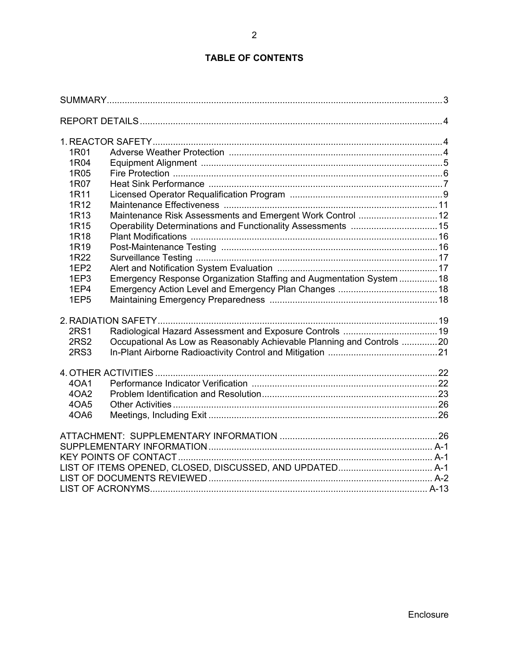# **TABLE OF CONTENTS**

| 1R01             |                                                                       |  |
|------------------|-----------------------------------------------------------------------|--|
| 1R04             |                                                                       |  |
| 1R05             |                                                                       |  |
| 1R07             |                                                                       |  |
| 1R11             |                                                                       |  |
| 1R12             |                                                                       |  |
| 1R <sub>13</sub> | Maintenance Risk Assessments and Emergent Work Control  12            |  |
| 1R <sub>15</sub> | Operability Determinations and Functionality Assessments  15          |  |
| 1R <sub>18</sub> |                                                                       |  |
| 1R <sub>19</sub> |                                                                       |  |
| 1R22             |                                                                       |  |
| 1EP <sub>2</sub> |                                                                       |  |
| 1EP3             | Emergency Response Organization Staffing and Augmentation System  18  |  |
| 1EP4             |                                                                       |  |
| 1EP <sub>5</sub> |                                                                       |  |
|                  |                                                                       |  |
| <b>2RS1</b>      |                                                                       |  |
| 2RS <sub>2</sub> | Occupational As Low as Reasonably Achievable Planning and Controls 20 |  |
| 2RS3             |                                                                       |  |
|                  |                                                                       |  |
| 40A1             |                                                                       |  |
| 4OA2             |                                                                       |  |
| 4OA5             |                                                                       |  |
| 4OA6             |                                                                       |  |
|                  |                                                                       |  |
|                  |                                                                       |  |
|                  |                                                                       |  |
|                  |                                                                       |  |
|                  |                                                                       |  |
|                  |                                                                       |  |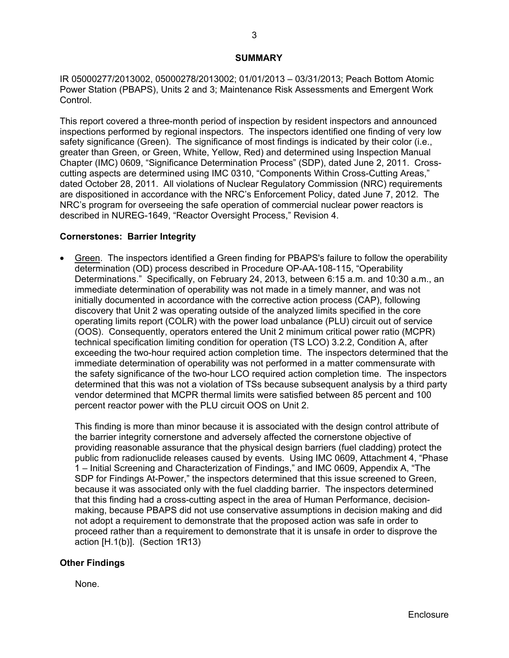### **SUMMARY**

IR 05000277/2013002, 05000278/2013002; 01/01/2013 – 03/31/2013; Peach Bottom Atomic Power Station (PBAPS), Units 2 and 3; Maintenance Risk Assessments and Emergent Work Control.

This report covered a three-month period of inspection by resident inspectors and announced inspections performed by regional inspectors. The inspectors identified one finding of very low safety significance (Green). The significance of most findings is indicated by their color (i.e., greater than Green, or Green, White, Yellow, Red) and determined using Inspection Manual Chapter (IMC) 0609, "Significance Determination Process" (SDP), dated June 2, 2011. Crosscutting aspects are determined using IMC 0310, "Components Within Cross-Cutting Areas," dated October 28, 2011. All violations of Nuclear Regulatory Commission (NRC) requirements are dispositioned in accordance with the NRC's Enforcement Policy, dated June 7, 2012. The NRC's program for overseeing the safe operation of commercial nuclear power reactors is described in NUREG-1649, "Reactor Oversight Process," Revision 4.

## **Cornerstones: Barrier Integrity**

 Green. The inspectors identified a Green finding for PBAPS's failure to follow the operability determination (OD) process described in Procedure OP-AA-108-115, "Operability Determinations." Specifically, on February 24, 2013, between 6:15 a.m. and 10:30 a.m., an immediate determination of operability was not made in a timely manner, and was not initially documented in accordance with the corrective action process (CAP), following discovery that Unit 2 was operating outside of the analyzed limits specified in the core operating limits report (COLR) with the power load unbalance (PLU) circuit out of service (OOS). Consequently, operators entered the Unit 2 minimum critical power ratio (MCPR) technical specification limiting condition for operation (TS LCO) 3.2.2, Condition A, after exceeding the two-hour required action completion time. The inspectors determined that the immediate determination of operability was not performed in a matter commensurate with the safety significance of the two-hour LCO required action completion time. The inspectors determined that this was not a violation of TSs because subsequent analysis by a third party vendor determined that MCPR thermal limits were satisfied between 85 percent and 100 percent reactor power with the PLU circuit OOS on Unit 2.

This finding is more than minor because it is associated with the design control attribute of the barrier integrity cornerstone and adversely affected the cornerstone objective of providing reasonable assurance that the physical design barriers (fuel cladding) protect the public from radionuclide releases caused by events. Using IMC 0609, Attachment 4, "Phase 1 – Initial Screening and Characterization of Findings," and IMC 0609, Appendix A, "The SDP for Findings At-Power," the inspectors determined that this issue screened to Green, because it was associated only with the fuel cladding barrier. The inspectors determined that this finding had a cross-cutting aspect in the area of Human Performance, decisionmaking, because PBAPS did not use conservative assumptions in decision making and did not adopt a requirement to demonstrate that the proposed action was safe in order to proceed rather than a requirement to demonstrate that it is unsafe in order to disprove the action [H.1(b)]. (Section 1R13)

## **Other Findings**

None.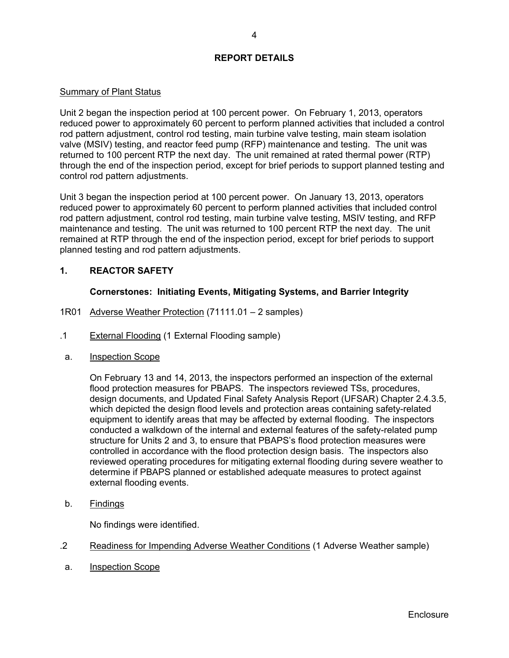# **REPORT DETAILS**

# Summary of Plant Status

Unit 2 began the inspection period at 100 percent power. On February 1, 2013, operators reduced power to approximately 60 percent to perform planned activities that included a control rod pattern adjustment, control rod testing, main turbine valve testing, main steam isolation valve (MSIV) testing, and reactor feed pump (RFP) maintenance and testing. The unit was returned to 100 percent RTP the next day. The unit remained at rated thermal power (RTP) through the end of the inspection period, except for brief periods to support planned testing and control rod pattern adjustments.

Unit 3 began the inspection period at 100 percent power. On January 13, 2013, operators reduced power to approximately 60 percent to perform planned activities that included control rod pattern adjustment, control rod testing, main turbine valve testing, MSIV testing, and RFP maintenance and testing. The unit was returned to 100 percent RTP the next day. The unit remained at RTP through the end of the inspection period, except for brief periods to support planned testing and rod pattern adjustments.

# **1. REACTOR SAFETY**

# **Cornerstones: Initiating Events, Mitigating Systems, and Barrier Integrity**

- 1R01 Adverse Weather Protection (71111.01 2 samples)
- .1 External Flooding (1 External Flooding sample)
- a. Inspection Scope

On February 13 and 14, 2013, the inspectors performed an inspection of the external flood protection measures for PBAPS. The inspectors reviewed TSs, procedures, design documents, and Updated Final Safety Analysis Report (UFSAR) Chapter 2.4.3.5, which depicted the design flood levels and protection areas containing safety-related equipment to identify areas that may be affected by external flooding. The inspectors conducted a walkdown of the internal and external features of the safety-related pump structure for Units 2 and 3, to ensure that PBAPS's flood protection measures were controlled in accordance with the flood protection design basis. The inspectors also reviewed operating procedures for mitigating external flooding during severe weather to determine if PBAPS planned or established adequate measures to protect against external flooding events.

b. Findings

No findings were identified.

- .2 Readiness for Impending Adverse Weather Conditions (1 Adverse Weather sample)
- a. Inspection Scope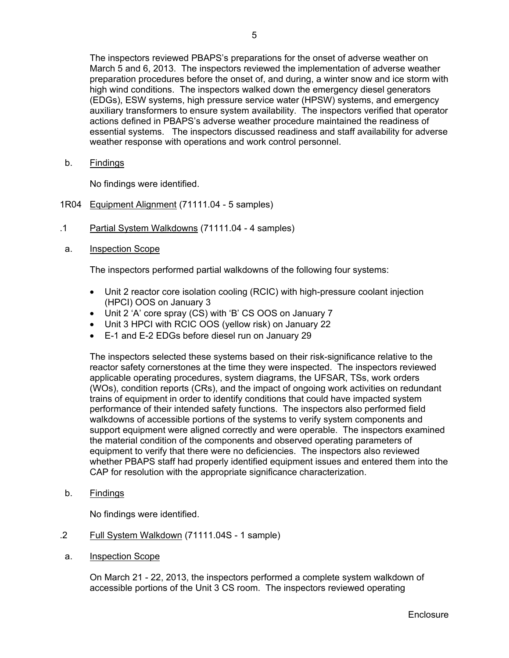The inspectors reviewed PBAPS's preparations for the onset of adverse weather on March 5 and 6, 2013. The inspectors reviewed the implementation of adverse weather preparation procedures before the onset of, and during, a winter snow and ice storm with high wind conditions. The inspectors walked down the emergency diesel generators (EDGs), ESW systems, high pressure service water (HPSW) systems, and emergency auxiliary transformers to ensure system availability. The inspectors verified that operator actions defined in PBAPS's adverse weather procedure maintained the readiness of essential systems. The inspectors discussed readiness and staff availability for adverse weather response with operations and work control personnel.

b. Findings

No findings were identified.

- 1R04 Equipment Alignment (71111.04 5 samples)
- .1 Partial System Walkdowns (71111.04 4 samples)
- a. Inspection Scope

The inspectors performed partial walkdowns of the following four systems:

- Unit 2 reactor core isolation cooling (RCIC) with high-pressure coolant injection (HPCI) OOS on January 3
- Unit 2 'A' core spray (CS) with 'B' CS OOS on January 7
- Unit 3 HPCI with RCIC OOS (yellow risk) on January 22
- E-1 and E-2 EDGs before diesel run on January 29

The inspectors selected these systems based on their risk-significance relative to the reactor safety cornerstones at the time they were inspected. The inspectors reviewed applicable operating procedures, system diagrams, the UFSAR, TSs, work orders (WOs), condition reports (CRs), and the impact of ongoing work activities on redundant trains of equipment in order to identify conditions that could have impacted system performance of their intended safety functions. The inspectors also performed field walkdowns of accessible portions of the systems to verify system components and support equipment were aligned correctly and were operable. The inspectors examined the material condition of the components and observed operating parameters of equipment to verify that there were no deficiencies. The inspectors also reviewed whether PBAPS staff had properly identified equipment issues and entered them into the CAP for resolution with the appropriate significance characterization.

b. Findings

No findings were identified.

- .2 Full System Walkdown (71111.04S 1 sample)
- a. Inspection Scope

On March 21 - 22, 2013, the inspectors performed a complete system walkdown of accessible portions of the Unit 3 CS room. The inspectors reviewed operating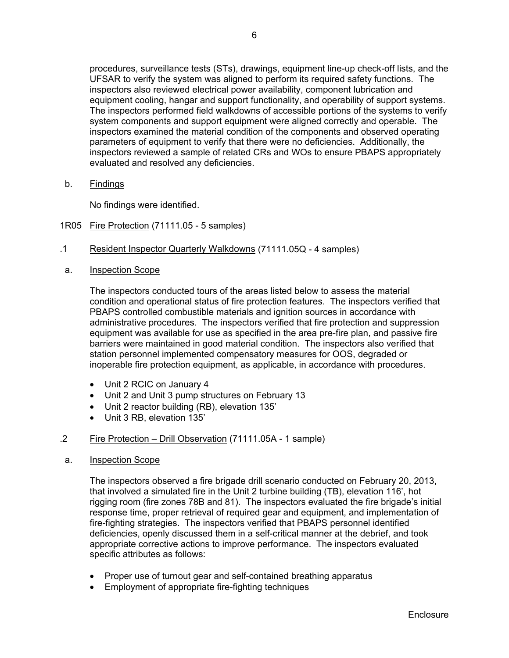procedures, surveillance tests (STs), drawings, equipment line-up check-off lists, and the UFSAR to verify the system was aligned to perform its required safety functions. The inspectors also reviewed electrical power availability, component lubrication and equipment cooling, hangar and support functionality, and operability of support systems. The inspectors performed field walkdowns of accessible portions of the systems to verify system components and support equipment were aligned correctly and operable. The inspectors examined the material condition of the components and observed operating parameters of equipment to verify that there were no deficiencies. Additionally, the inspectors reviewed a sample of related CRs and WOs to ensure PBAPS appropriately evaluated and resolved any deficiencies.

b. Findings

No findings were identified.

- 1R05 Fire Protection (71111.05 5 samples)
- .1 Resident Inspector Quarterly Walkdowns (71111.05Q 4 samples)
- a. Inspection Scope

The inspectors conducted tours of the areas listed below to assess the material condition and operational status of fire protection features. The inspectors verified that PBAPS controlled combustible materials and ignition sources in accordance with administrative procedures. The inspectors verified that fire protection and suppression equipment was available for use as specified in the area pre-fire plan, and passive fire barriers were maintained in good material condition. The inspectors also verified that station personnel implemented compensatory measures for OOS, degraded or inoperable fire protection equipment, as applicable, in accordance with procedures.

- Unit 2 RCIC on January 4
- Unit 2 and Unit 3 pump structures on February 13
- Unit 2 reactor building (RB), elevation 135'
- Unit 3 RB, elevation 135'
- .2 Fire Protection Drill Observation (71111.05A 1 sample)
- a. Inspection Scope

The inspectors observed a fire brigade drill scenario conducted on February 20, 2013, that involved a simulated fire in the Unit 2 turbine building (TB), elevation 116', hot rigging room (fire zones 78B and 81). The inspectors evaluated the fire brigade's initial response time, proper retrieval of required gear and equipment, and implementation of fire-fighting strategies. The inspectors verified that PBAPS personnel identified deficiencies, openly discussed them in a self-critical manner at the debrief, and took appropriate corrective actions to improve performance. The inspectors evaluated specific attributes as follows:

- Proper use of turnout gear and self-contained breathing apparatus
- Employment of appropriate fire-fighting techniques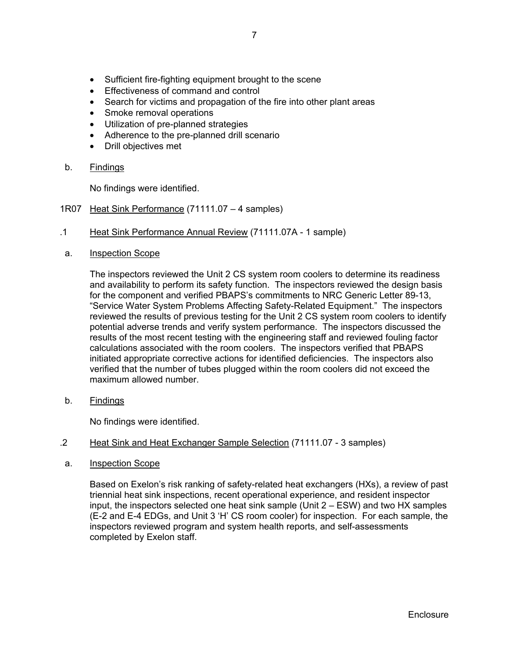- Sufficient fire-fighting equipment brought to the scene
- **Effectiveness of command and control**
- Search for victims and propagation of the fire into other plant areas
- Smoke removal operations
- Utilization of pre-planned strategies
- Adherence to the pre-planned drill scenario
- Drill objectives met
- b. Findings

No findings were identified.

- 1R07 Heat Sink Performance (71111.07 4 samples)
- .1 Heat Sink Performance Annual Review (71111.07A 1 sample)
- a. Inspection Scope

The inspectors reviewed the Unit 2 CS system room coolers to determine its readiness and availability to perform its safety function. The inspectors reviewed the design basis for the component and verified PBAPS's commitments to NRC Generic Letter 89-13, "Service Water System Problems Affecting Safety-Related Equipment." The inspectors reviewed the results of previous testing for the Unit 2 CS system room coolers to identify potential adverse trends and verify system performance. The inspectors discussed the results of the most recent testing with the engineering staff and reviewed fouling factor calculations associated with the room coolers. The inspectors verified that PBAPS initiated appropriate corrective actions for identified deficiencies. The inspectors also verified that the number of tubes plugged within the room coolers did not exceed the maximum allowed number.

b. Findings

No findings were identified.

- .2 Heat Sink and Heat Exchanger Sample Selection (71111.07 3 samples)
- a. Inspection Scope

Based on Exelon's risk ranking of safety-related heat exchangers (HXs), a review of past triennial heat sink inspections, recent operational experience, and resident inspector input, the inspectors selected one heat sink sample (Unit 2 – ESW) and two HX samples (E-2 and E-4 EDGs, and Unit 3 'H' CS room cooler) for inspection. For each sample, the inspectors reviewed program and system health reports, and self-assessments completed by Exelon staff.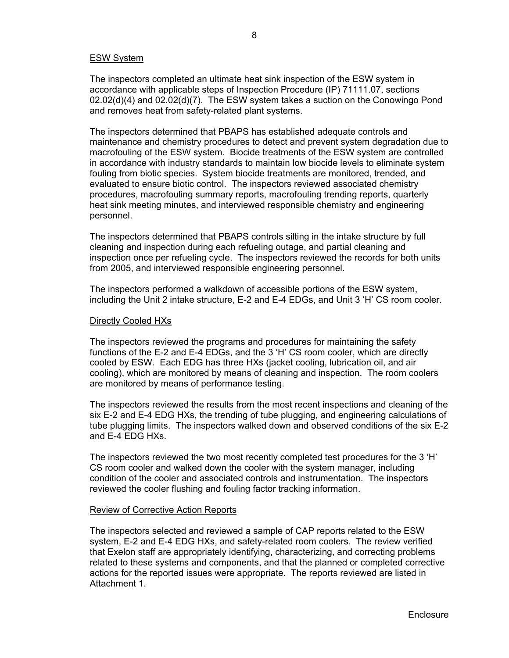### ESW System

The inspectors completed an ultimate heat sink inspection of the ESW system in accordance with applicable steps of Inspection Procedure (IP) 71111.07, sections 02.02(d)(4) and 02.02(d)(7). The ESW system takes a suction on the Conowingo Pond and removes heat from safety-related plant systems.

The inspectors determined that PBAPS has established adequate controls and maintenance and chemistry procedures to detect and prevent system degradation due to macrofouling of the ESW system. Biocide treatments of the ESW system are controlled in accordance with industry standards to maintain low biocide levels to eliminate system fouling from biotic species. System biocide treatments are monitored, trended, and evaluated to ensure biotic control. The inspectors reviewed associated chemistry procedures, macrofouling summary reports, macrofouling trending reports, quarterly heat sink meeting minutes, and interviewed responsible chemistry and engineering personnel.

The inspectors determined that PBAPS controls silting in the intake structure by full cleaning and inspection during each refueling outage, and partial cleaning and inspection once per refueling cycle. The inspectors reviewed the records for both units from 2005, and interviewed responsible engineering personnel.

The inspectors performed a walkdown of accessible portions of the ESW system, including the Unit 2 intake structure, E-2 and E-4 EDGs, and Unit 3 'H' CS room cooler.

#### Directly Cooled HXs

The inspectors reviewed the programs and procedures for maintaining the safety functions of the E-2 and E-4 EDGs, and the 3 'H' CS room cooler, which are directly cooled by ESW. Each EDG has three HXs (jacket cooling, lubrication oil, and air cooling), which are monitored by means of cleaning and inspection. The room coolers are monitored by means of performance testing.

The inspectors reviewed the results from the most recent inspections and cleaning of the six E-2 and E-4 EDG HXs, the trending of tube plugging, and engineering calculations of tube plugging limits. The inspectors walked down and observed conditions of the six E-2 and E-4 EDG HXs.

The inspectors reviewed the two most recently completed test procedures for the 3 'H' CS room cooler and walked down the cooler with the system manager, including condition of the cooler and associated controls and instrumentation. The inspectors reviewed the cooler flushing and fouling factor tracking information.

#### Review of Corrective Action Reports

The inspectors selected and reviewed a sample of CAP reports related to the ESW system, E-2 and E-4 EDG HXs, and safety-related room coolers. The review verified that Exelon staff are appropriately identifying, characterizing, and correcting problems related to these systems and components, and that the planned or completed corrective actions for the reported issues were appropriate. The reports reviewed are listed in Attachment 1.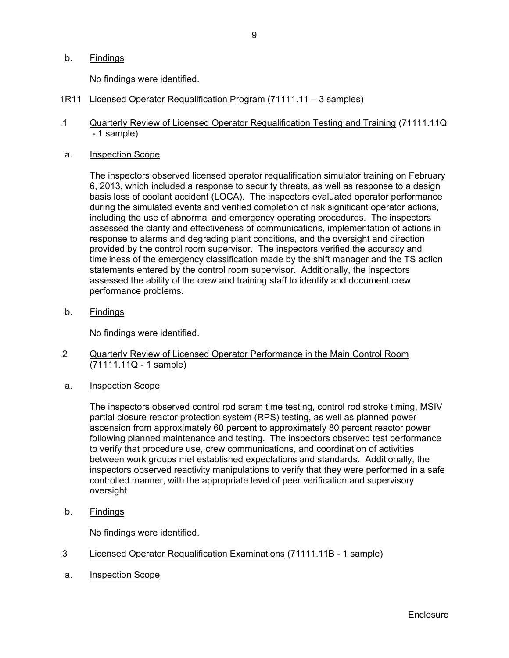No findings were identified.

- 1R11 Licensed Operator Requalification Program (71111.11 3 samples)
- .1 Quarterly Review of Licensed Operator Requalification Testing and Training (71111.11Q - 1 sample)
- a. Inspection Scope

The inspectors observed licensed operator requalification simulator training on February 6, 2013, which included a response to security threats, as well as response to a design basis loss of coolant accident (LOCA). The inspectors evaluated operator performance during the simulated events and verified completion of risk significant operator actions, including the use of abnormal and emergency operating procedures. The inspectors assessed the clarity and effectiveness of communications, implementation of actions in response to alarms and degrading plant conditions, and the oversight and direction provided by the control room supervisor. The inspectors verified the accuracy and timeliness of the emergency classification made by the shift manager and the TS action statements entered by the control room supervisor. Additionally, the inspectors assessed the ability of the crew and training staff to identify and document crew performance problems.

b. Findings

No findings were identified.

- .2 Quarterly Review of Licensed Operator Performance in the Main Control Room (71111.11Q - 1 sample)
- a. Inspection Scope

The inspectors observed control rod scram time testing, control rod stroke timing, MSIV partial closure reactor protection system (RPS) testing, as well as planned power ascension from approximately 60 percent to approximately 80 percent reactor power following planned maintenance and testing. The inspectors observed test performance to verify that procedure use, crew communications, and coordination of activities between work groups met established expectations and standards. Additionally, the inspectors observed reactivity manipulations to verify that they were performed in a safe controlled manner, with the appropriate level of peer verification and supervisory oversight.

b. Findings

No findings were identified.

- .3 Licensed Operator Requalification Examinations (71111.11B 1 sample)
- a. Inspection Scope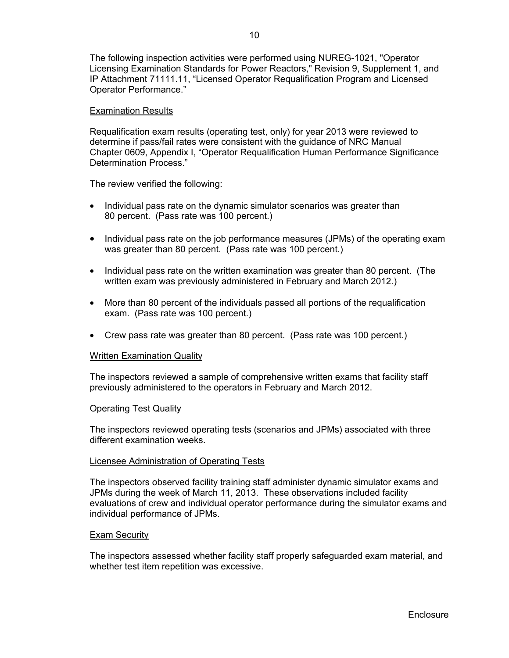The following inspection activities were performed using NUREG-1021, "Operator Licensing Examination Standards for Power Reactors," Revision 9, Supplement 1, and IP Attachment 71111.11, "Licensed Operator Requalification Program and Licensed Operator Performance."

## Examination Results

Requalification exam results (operating test, only) for year 2013 were reviewed to determine if pass/fail rates were consistent with the guidance of NRC Manual Chapter 0609, Appendix I, "Operator Requalification Human Performance Significance Determination Process."

The review verified the following:

- Individual pass rate on the dynamic simulator scenarios was greater than 80 percent. (Pass rate was 100 percent.)
- Individual pass rate on the job performance measures (JPMs) of the operating exam was greater than 80 percent. (Pass rate was 100 percent.)
- Individual pass rate on the written examination was greater than 80 percent. (The written exam was previously administered in February and March 2012.)
- More than 80 percent of the individuals passed all portions of the requalification exam. (Pass rate was 100 percent.)
- Crew pass rate was greater than 80 percent. (Pass rate was 100 percent.)

#### Written Examination Quality

The inspectors reviewed a sample of comprehensive written exams that facility staff previously administered to the operators in February and March 2012.

### Operating Test Quality

The inspectors reviewed operating tests (scenarios and JPMs) associated with three different examination weeks.

### Licensee Administration of Operating Tests

The inspectors observed facility training staff administer dynamic simulator exams and JPMs during the week of March 11, 2013. These observations included facility evaluations of crew and individual operator performance during the simulator exams and individual performance of JPMs.

## Exam Security

The inspectors assessed whether facility staff properly safeguarded exam material, and whether test item repetition was excessive.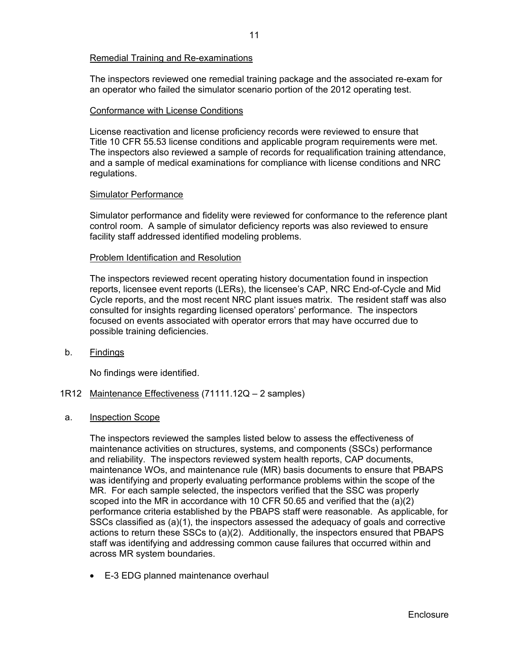# Remedial Training and Re-examinations

The inspectors reviewed one remedial training package and the associated re-exam for an operator who failed the simulator scenario portion of the 2012 operating test.

### Conformance with License Conditions

License reactivation and license proficiency records were reviewed to ensure that Title 10 CFR 55.53 license conditions and applicable program requirements were met. The inspectors also reviewed a sample of records for requalification training attendance, and a sample of medical examinations for compliance with license conditions and NRC regulations.

### Simulator Performance

Simulator performance and fidelity were reviewed for conformance to the reference plant control room. A sample of simulator deficiency reports was also reviewed to ensure facility staff addressed identified modeling problems.

### Problem Identification and Resolution

The inspectors reviewed recent operating history documentation found in inspection reports, licensee event reports (LERs), the licensee's CAP, NRC End-of-Cycle and Mid Cycle reports, and the most recent NRC plant issues matrix. The resident staff was also consulted for insights regarding licensed operators' performance. The inspectors focused on events associated with operator errors that may have occurred due to possible training deficiencies.

b. Findings

No findings were identified.

- 1R12 Maintenance Effectiveness (71111.12Q 2 samples)
- a. Inspection Scope

The inspectors reviewed the samples listed below to assess the effectiveness of maintenance activities on structures, systems, and components (SSCs) performance and reliability. The inspectors reviewed system health reports, CAP documents, maintenance WOs, and maintenance rule (MR) basis documents to ensure that PBAPS was identifying and properly evaluating performance problems within the scope of the MR. For each sample selected, the inspectors verified that the SSC was properly scoped into the MR in accordance with 10 CFR 50.65 and verified that the (a)(2) performance criteria established by the PBAPS staff were reasonable. As applicable, for SSCs classified as (a)(1), the inspectors assessed the adequacy of goals and corrective actions to return these SSCs to (a)(2). Additionally, the inspectors ensured that PBAPS staff was identifying and addressing common cause failures that occurred within and across MR system boundaries.

E-3 EDG planned maintenance overhaul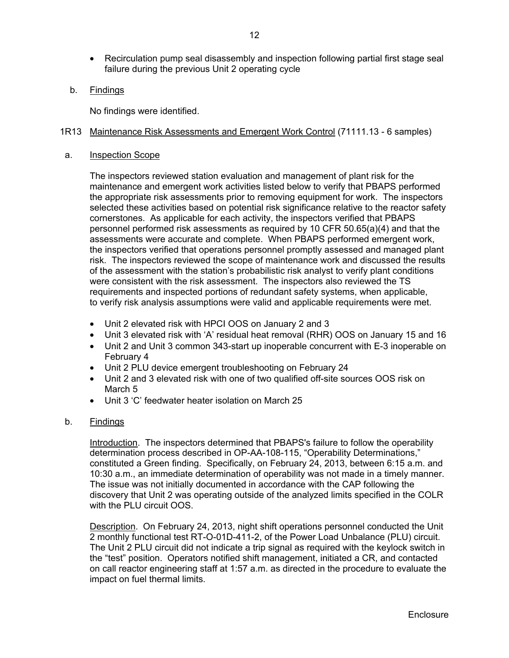- Recirculation pump seal disassembly and inspection following partial first stage seal failure during the previous Unit 2 operating cycle
- b. Findings

No findings were identified.

## 1R13 Maintenance Risk Assessments and Emergent Work Control (71111.13 - 6 samples)

a. Inspection Scope

The inspectors reviewed station evaluation and management of plant risk for the maintenance and emergent work activities listed below to verify that PBAPS performed the appropriate risk assessments prior to removing equipment for work. The inspectors selected these activities based on potential risk significance relative to the reactor safety cornerstones. As applicable for each activity, the inspectors verified that PBAPS personnel performed risk assessments as required by 10 CFR 50.65(a)(4) and that the assessments were accurate and complete. When PBAPS performed emergent work, the inspectors verified that operations personnel promptly assessed and managed plant risk. The inspectors reviewed the scope of maintenance work and discussed the results of the assessment with the station's probabilistic risk analyst to verify plant conditions were consistent with the risk assessment. The inspectors also reviewed the TS requirements and inspected portions of redundant safety systems, when applicable, to verify risk analysis assumptions were valid and applicable requirements were met.

- Unit 2 elevated risk with HPCI OOS on January 2 and 3
- Unit 3 elevated risk with 'A' residual heat removal (RHR) OOS on January 15 and 16
- Unit 2 and Unit 3 common 343-start up inoperable concurrent with E-3 inoperable on February 4
- Unit 2 PLU device emergent troubleshooting on February 24
- Unit 2 and 3 elevated risk with one of two qualified off-site sources OOS risk on March 5
- Unit 3 'C' feedwater heater isolation on March 25
- b. Findings

Introduction. The inspectors determined that PBAPS's failure to follow the operability determination process described in OP-AA-108-115, "Operability Determinations," constituted a Green finding. Specifically, on February 24, 2013, between 6:15 a.m. and 10:30 a.m., an immediate determination of operability was not made in a timely manner. The issue was not initially documented in accordance with the CAP following the discovery that Unit 2 was operating outside of the analyzed limits specified in the COLR with the PLU circuit OOS.

Description. On February 24, 2013, night shift operations personnel conducted the Unit 2 monthly functional test RT-O-01D-411-2, of the Power Load Unbalance (PLU) circuit. The Unit 2 PLU circuit did not indicate a trip signal as required with the keylock switch in the "test" position. Operators notified shift management, initiated a CR, and contacted on call reactor engineering staff at 1:57 a.m. as directed in the procedure to evaluate the impact on fuel thermal limits.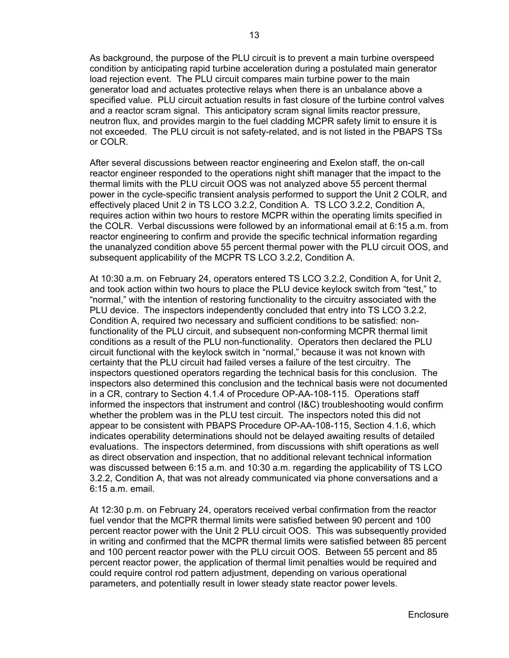As background, the purpose of the PLU circuit is to prevent a main turbine overspeed condition by anticipating rapid turbine acceleration during a postulated main generator load rejection event. The PLU circuit compares main turbine power to the main generator load and actuates protective relays when there is an unbalance above a specified value. PLU circuit actuation results in fast closure of the turbine control valves and a reactor scram signal. This anticipatory scram signal limits reactor pressure, neutron flux, and provides margin to the fuel cladding MCPR safety limit to ensure it is not exceeded. The PLU circuit is not safety-related, and is not listed in the PBAPS TSs or COLR.

After several discussions between reactor engineering and Exelon staff, the on-call reactor engineer responded to the operations night shift manager that the impact to the thermal limits with the PLU circuit OOS was not analyzed above 55 percent thermal power in the cycle-specific transient analysis performed to support the Unit 2 COLR, and effectively placed Unit 2 in TS LCO 3.2.2, Condition A. TS LCO 3.2.2, Condition A, requires action within two hours to restore MCPR within the operating limits specified in the COLR. Verbal discussions were followed by an informational email at 6:15 a.m. from reactor engineering to confirm and provide the specific technical information regarding the unanalyzed condition above 55 percent thermal power with the PLU circuit OOS, and subsequent applicability of the MCPR TS LCO 3.2.2, Condition A.

At 10:30 a.m. on February 24, operators entered TS LCO 3.2.2, Condition A, for Unit 2, and took action within two hours to place the PLU device keylock switch from "test," to "normal," with the intention of restoring functionality to the circuitry associated with the PLU device. The inspectors independently concluded that entry into TS LCO 3.2.2, Condition A, required two necessary and sufficient conditions to be satisfied: nonfunctionality of the PLU circuit, and subsequent non-conforming MCPR thermal limit conditions as a result of the PLU non-functionality. Operators then declared the PLU circuit functional with the keylock switch in "normal," because it was not known with certainty that the PLU circuit had failed verses a failure of the test circuitry. The inspectors questioned operators regarding the technical basis for this conclusion. The inspectors also determined this conclusion and the technical basis were not documented in a CR, contrary to Section 4.1.4 of Procedure OP-AA-108-115. Operations staff informed the inspectors that instrument and control (I&C) troubleshooting would confirm whether the problem was in the PLU test circuit. The inspectors noted this did not appear to be consistent with PBAPS Procedure OP-AA-108-115, Section 4.1.6, which indicates operability determinations should not be delayed awaiting results of detailed evaluations. The inspectors determined, from discussions with shift operations as well as direct observation and inspection, that no additional relevant technical information was discussed between 6:15 a.m. and 10:30 a.m. regarding the applicability of TS LCO 3.2.2, Condition A, that was not already communicated via phone conversations and a 6:15 a.m. email.

At 12:30 p.m. on February 24, operators received verbal confirmation from the reactor fuel vendor that the MCPR thermal limits were satisfied between 90 percent and 100 percent reactor power with the Unit 2 PLU circuit OOS. This was subsequently provided in writing and confirmed that the MCPR thermal limits were satisfied between 85 percent and 100 percent reactor power with the PLU circuit OOS. Between 55 percent and 85 percent reactor power, the application of thermal limit penalties would be required and could require control rod pattern adjustment, depending on various operational parameters, and potentially result in lower steady state reactor power levels.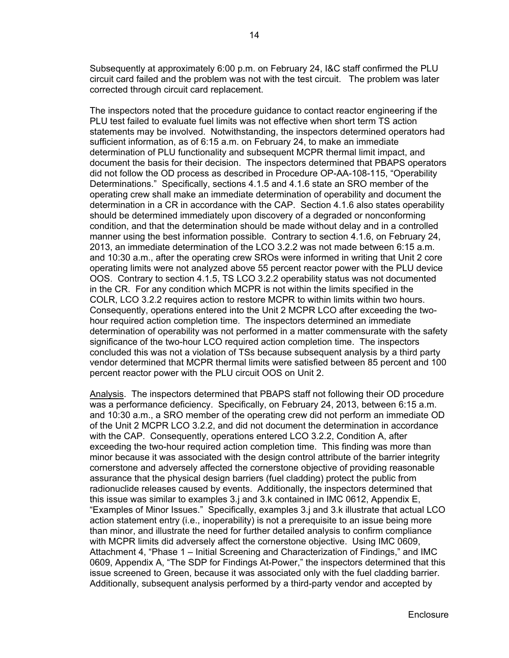Subsequently at approximately 6:00 p.m. on February 24, I&C staff confirmed the PLU circuit card failed and the problem was not with the test circuit. The problem was later corrected through circuit card replacement.

The inspectors noted that the procedure guidance to contact reactor engineering if the PLU test failed to evaluate fuel limits was not effective when short term TS action statements may be involved. Notwithstanding, the inspectors determined operators had sufficient information, as of 6:15 a.m. on February 24, to make an immediate determination of PLU functionality and subsequent MCPR thermal limit impact, and document the basis for their decision. The inspectors determined that PBAPS operators did not follow the OD process as described in Procedure OP-AA-108-115, "Operability Determinations." Specifically, sections 4.1.5 and 4.1.6 state an SRO member of the operating crew shall make an immediate determination of operability and document the determination in a CR in accordance with the CAP. Section 4.1.6 also states operability should be determined immediately upon discovery of a degraded or nonconforming condition, and that the determination should be made without delay and in a controlled manner using the best information possible. Contrary to section 4.1.6, on February 24, 2013, an immediate determination of the LCO 3.2.2 was not made between 6:15 a.m. and 10:30 a.m., after the operating crew SROs were informed in writing that Unit 2 core operating limits were not analyzed above 55 percent reactor power with the PLU device OOS. Contrary to section 4.1.5, TS LCO 3.2.2 operability status was not documented in the CR. For any condition which MCPR is not within the limits specified in the COLR, LCO 3.2.2 requires action to restore MCPR to within limits within two hours. Consequently, operations entered into the Unit 2 MCPR LCO after exceeding the twohour required action completion time. The inspectors determined an immediate determination of operability was not performed in a matter commensurate with the safety significance of the two-hour LCO required action completion time. The inspectors concluded this was not a violation of TSs because subsequent analysis by a third party vendor determined that MCPR thermal limits were satisfied between 85 percent and 100 percent reactor power with the PLU circuit OOS on Unit 2.

Analysis. The inspectors determined that PBAPS staff not following their OD procedure was a performance deficiency. Specifically, on February 24, 2013, between 6:15 a.m. and 10:30 a.m., a SRO member of the operating crew did not perform an immediate OD of the Unit 2 MCPR LCO 3.2.2, and did not document the determination in accordance with the CAP. Consequently, operations entered LCO 3.2.2, Condition A, after exceeding the two-hour required action completion time. This finding was more than minor because it was associated with the design control attribute of the barrier integrity cornerstone and adversely affected the cornerstone objective of providing reasonable assurance that the physical design barriers (fuel cladding) protect the public from radionuclide releases caused by events. Additionally, the inspectors determined that this issue was similar to examples 3.j and 3.k contained in IMC 0612, Appendix E, "Examples of Minor Issues." Specifically, examples 3.j and 3.k illustrate that actual LCO action statement entry (i.e., inoperability) is not a prerequisite to an issue being more than minor, and illustrate the need for further detailed analysis to confirm compliance with MCPR limits did adversely affect the cornerstone objective. Using IMC 0609, Attachment 4, "Phase 1 – Initial Screening and Characterization of Findings," and IMC 0609, Appendix A, "The SDP for Findings At-Power," the inspectors determined that this issue screened to Green, because it was associated only with the fuel cladding barrier. Additionally, subsequent analysis performed by a third-party vendor and accepted by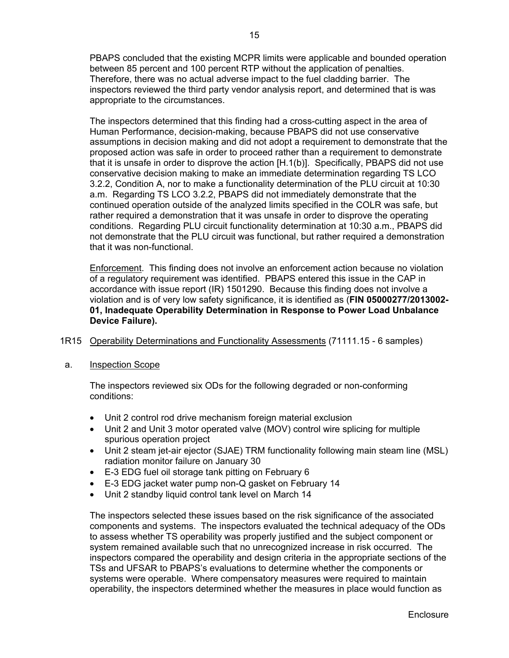PBAPS concluded that the existing MCPR limits were applicable and bounded operation between 85 percent and 100 percent RTP without the application of penalties. Therefore, there was no actual adverse impact to the fuel cladding barrier. The inspectors reviewed the third party vendor analysis report, and determined that is was appropriate to the circumstances.

The inspectors determined that this finding had a cross-cutting aspect in the area of Human Performance, decision-making, because PBAPS did not use conservative assumptions in decision making and did not adopt a requirement to demonstrate that the proposed action was safe in order to proceed rather than a requirement to demonstrate that it is unsafe in order to disprove the action [H.1(b)]. Specifically, PBAPS did not use conservative decision making to make an immediate determination regarding TS LCO 3.2.2, Condition A, nor to make a functionality determination of the PLU circuit at 10:30 a.m. Regarding TS LCO 3.2.2, PBAPS did not immediately demonstrate that the continued operation outside of the analyzed limits specified in the COLR was safe, but rather required a demonstration that it was unsafe in order to disprove the operating conditions. Regarding PLU circuit functionality determination at 10:30 a.m., PBAPS did not demonstrate that the PLU circuit was functional, but rather required a demonstration that it was non-functional.

Enforcement. This finding does not involve an enforcement action because no violation of a regulatory requirement was identified. PBAPS entered this issue in the CAP in accordance with issue report (IR) 1501290. Because this finding does not involve a violation and is of very low safety significance, it is identified as (**FIN 05000277/2013002- 01, Inadequate Operability Determination in Response to Power Load Unbalance Device Failure).** 

- 1R15 Operability Determinations and Functionality Assessments (71111.15 6 samples)
- a. Inspection Scope

The inspectors reviewed six ODs for the following degraded or non-conforming conditions:

- Unit 2 control rod drive mechanism foreign material exclusion
- Unit 2 and Unit 3 motor operated valve (MOV) control wire splicing for multiple spurious operation project
- Unit 2 steam jet-air ejector (SJAE) TRM functionality following main steam line (MSL) radiation monitor failure on January 30
- E-3 EDG fuel oil storage tank pitting on February 6
- E-3 EDG jacket water pump non-Q gasket on February 14
- Unit 2 standby liquid control tank level on March 14

The inspectors selected these issues based on the risk significance of the associated components and systems. The inspectors evaluated the technical adequacy of the ODs to assess whether TS operability was properly justified and the subject component or system remained available such that no unrecognized increase in risk occurred. The inspectors compared the operability and design criteria in the appropriate sections of the TSs and UFSAR to PBAPS's evaluations to determine whether the components or systems were operable. Where compensatory measures were required to maintain operability, the inspectors determined whether the measures in place would function as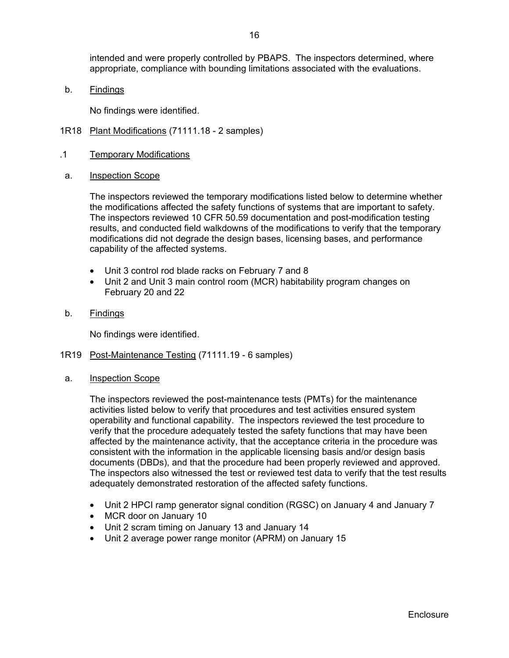intended and were properly controlled by PBAPS. The inspectors determined, where appropriate, compliance with bounding limitations associated with the evaluations.

b. Findings

No findings were identified.

### 1R18 Plant Modifications (71111.18 - 2 samples)

- .1 Temporary Modifications
- a. Inspection Scope

The inspectors reviewed the temporary modifications listed below to determine whether the modifications affected the safety functions of systems that are important to safety. The inspectors reviewed 10 CFR 50.59 documentation and post-modification testing results, and conducted field walkdowns of the modifications to verify that the temporary modifications did not degrade the design bases, licensing bases, and performance capability of the affected systems.

- Unit 3 control rod blade racks on February 7 and 8
- Unit 2 and Unit 3 main control room (MCR) habitability program changes on February 20 and 22
- b. Findings

No findings were identified.

- 1R19 Post-Maintenance Testing (71111.19 6 samples)
- a. Inspection Scope

The inspectors reviewed the post-maintenance tests (PMTs) for the maintenance activities listed below to verify that procedures and test activities ensured system operability and functional capability. The inspectors reviewed the test procedure to verify that the procedure adequately tested the safety functions that may have been affected by the maintenance activity, that the acceptance criteria in the procedure was consistent with the information in the applicable licensing basis and/or design basis documents (DBDs), and that the procedure had been properly reviewed and approved. The inspectors also witnessed the test or reviewed test data to verify that the test results adequately demonstrated restoration of the affected safety functions.

- Unit 2 HPCI ramp generator signal condition (RGSC) on January 4 and January 7
- MCR door on January 10
- Unit 2 scram timing on January 13 and January 14
- Unit 2 average power range monitor (APRM) on January 15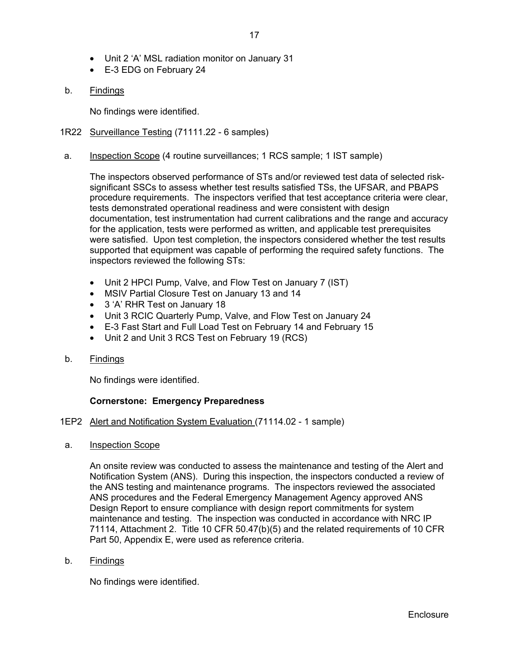- Unit 2 'A' MSL radiation monitor on January 31
- E-3 EDG on February 24

### b. Findings

No findings were identified.

- 1R22 Surveillance Testing (71111.22 6 samples)
- a. Inspection Scope (4 routine surveillances; 1 RCS sample; 1 IST sample)

The inspectors observed performance of STs and/or reviewed test data of selected risksignificant SSCs to assess whether test results satisfied TSs, the UFSAR, and PBAPS procedure requirements. The inspectors verified that test acceptance criteria were clear, tests demonstrated operational readiness and were consistent with design documentation, test instrumentation had current calibrations and the range and accuracy for the application, tests were performed as written, and applicable test prerequisites were satisfied. Upon test completion, the inspectors considered whether the test results supported that equipment was capable of performing the required safety functions. The inspectors reviewed the following STs:

- Unit 2 HPCI Pump, Valve, and Flow Test on January 7 (IST)
- MSIV Partial Closure Test on January 13 and 14
- 3 'A' RHR Test on January 18
- Unit 3 RCIC Quarterly Pump, Valve, and Flow Test on January 24
- E-3 Fast Start and Full Load Test on February 14 and February 15
- Unit 2 and Unit 3 RCS Test on February 19 (RCS)
- b. Findings

No findings were identified.

## **Cornerstone: Emergency Preparedness**

### 1EP2 Alert and Notification System Evaluation (71114.02 - 1 sample)

a. Inspection Scope

An onsite review was conducted to assess the maintenance and testing of the Alert and Notification System (ANS). During this inspection, the inspectors conducted a review of the ANS testing and maintenance programs. The inspectors reviewed the associated ANS procedures and the Federal Emergency Management Agency approved ANS Design Report to ensure compliance with design report commitments for system maintenance and testing. The inspection was conducted in accordance with NRC IP 71114, Attachment 2. Title 10 CFR 50.47(b)(5) and the related requirements of 10 CFR Part 50, Appendix E, were used as reference criteria.

b. Findings

No findings were identified.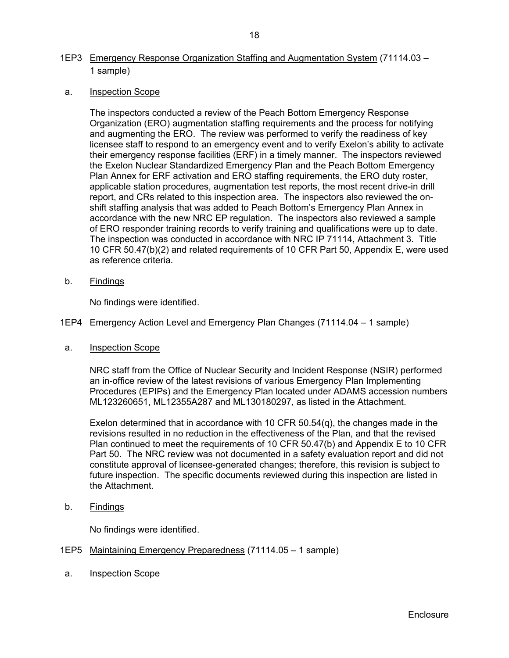# 1EP3 Emergency Response Organization Staffing and Augmentation System (71114.03 – 1 sample)

# a. Inspection Scope

The inspectors conducted a review of the Peach Bottom Emergency Response Organization (ERO) augmentation staffing requirements and the process for notifying and augmenting the ERO. The review was performed to verify the readiness of key licensee staff to respond to an emergency event and to verify Exelon's ability to activate their emergency response facilities (ERF) in a timely manner. The inspectors reviewed the Exelon Nuclear Standardized Emergency Plan and the Peach Bottom Emergency Plan Annex for ERF activation and ERO staffing requirements, the ERO duty roster, applicable station procedures, augmentation test reports, the most recent drive-in drill report, and CRs related to this inspection area. The inspectors also reviewed the onshift staffing analysis that was added to Peach Bottom's Emergency Plan Annex in accordance with the new NRC EP regulation. The inspectors also reviewed a sample of ERO responder training records to verify training and qualifications were up to date. The inspection was conducted in accordance with NRC IP 71114, Attachment 3. Title 10 CFR 50.47(b)(2) and related requirements of 10 CFR Part 50, Appendix E, were used as reference criteria.

b. Findings

No findings were identified.

### 1EP4 Emergency Action Level and Emergency Plan Changes (71114.04 – 1 sample)

a. Inspection Scope

NRC staff from the Office of Nuclear Security and Incident Response (NSIR) performed an in-office review of the latest revisions of various Emergency Plan Implementing Procedures (EPIPs) and the Emergency Plan located under ADAMS accession numbers ML123260651, ML12355A287 and ML130180297, as listed in the Attachment.

Exelon determined that in accordance with 10 CFR  $50.54(q)$ , the changes made in the revisions resulted in no reduction in the effectiveness of the Plan, and that the revised Plan continued to meet the requirements of 10 CFR 50.47(b) and Appendix E to 10 CFR Part 50. The NRC review was not documented in a safety evaluation report and did not constitute approval of licensee-generated changes; therefore, this revision is subject to future inspection. The specific documents reviewed during this inspection are listed in the Attachment.

b. Findings

No findings were identified.

### 1EP5 Maintaining Emergency Preparedness (71114.05 – 1 sample)

a. Inspection Scope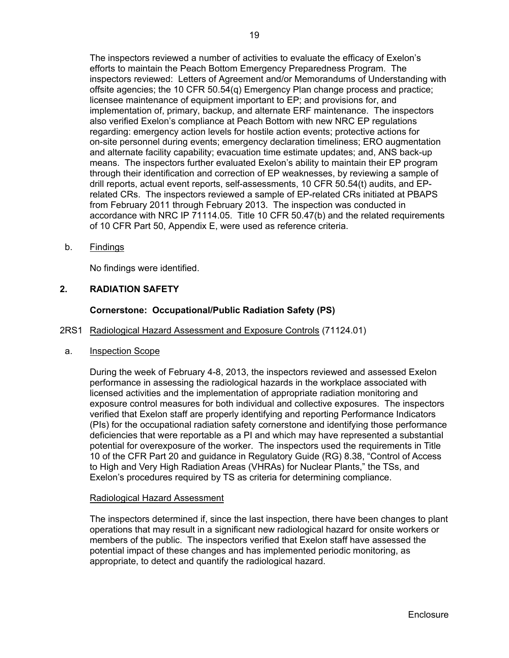The inspectors reviewed a number of activities to evaluate the efficacy of Exelon's efforts to maintain the Peach Bottom Emergency Preparedness Program. The inspectors reviewed: Letters of Agreement and/or Memorandums of Understanding with offsite agencies; the 10 CFR 50.54(q) Emergency Plan change process and practice; licensee maintenance of equipment important to EP; and provisions for, and implementation of, primary, backup, and alternate ERF maintenance. The inspectors also verified Exelon's compliance at Peach Bottom with new NRC EP regulations regarding: emergency action levels for hostile action events; protective actions for on-site personnel during events; emergency declaration timeliness; ERO augmentation and alternate facility capability; evacuation time estimate updates; and, ANS back-up means. The inspectors further evaluated Exelon's ability to maintain their EP program through their identification and correction of EP weaknesses, by reviewing a sample of drill reports, actual event reports, self-assessments, 10 CFR 50.54(t) audits, and EPrelated CRs. The inspectors reviewed a sample of EP-related CRs initiated at PBAPS from February 2011 through February 2013. The inspection was conducted in accordance with NRC IP 71114.05. Title 10 CFR 50.47(b) and the related requirements of 10 CFR Part 50, Appendix E, were used as reference criteria.

b. Findings

No findings were identified.

# **2. RADIATION SAFETY**

# **Cornerstone: Occupational/Public Radiation Safety (PS)**

## 2RS1 Radiological Hazard Assessment and Exposure Controls (71124.01)

a. Inspection Scope

During the week of February 4-8, 2013, the inspectors reviewed and assessed Exelon performance in assessing the radiological hazards in the workplace associated with licensed activities and the implementation of appropriate radiation monitoring and exposure control measures for both individual and collective exposures. The inspectors verified that Exelon staff are properly identifying and reporting Performance Indicators (PIs) for the occupational radiation safety cornerstone and identifying those performance deficiencies that were reportable as a PI and which may have represented a substantial potential for overexposure of the worker. The inspectors used the requirements in Title 10 of the CFR Part 20 and guidance in Regulatory Guide (RG) 8.38, "Control of Access to High and Very High Radiation Areas (VHRAs) for Nuclear Plants," the TSs, and Exelon's procedures required by TS as criteria for determining compliance.

## Radiological Hazard Assessment

The inspectors determined if, since the last inspection, there have been changes to plant operations that may result in a significant new radiological hazard for onsite workers or members of the public. The inspectors verified that Exelon staff have assessed the potential impact of these changes and has implemented periodic monitoring, as appropriate, to detect and quantify the radiological hazard.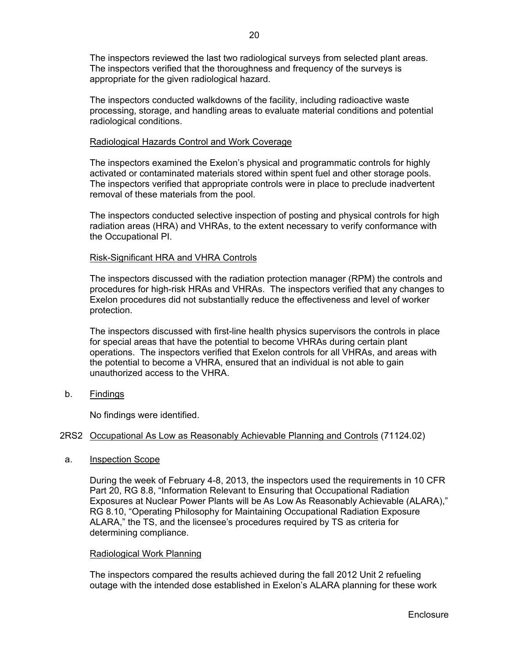The inspectors reviewed the last two radiological surveys from selected plant areas. The inspectors verified that the thoroughness and frequency of the surveys is appropriate for the given radiological hazard.

The inspectors conducted walkdowns of the facility, including radioactive waste processing, storage, and handling areas to evaluate material conditions and potential radiological conditions.

### Radiological Hazards Control and Work Coverage

The inspectors examined the Exelon's physical and programmatic controls for highly activated or contaminated materials stored within spent fuel and other storage pools. The inspectors verified that appropriate controls were in place to preclude inadvertent removal of these materials from the pool.

The inspectors conducted selective inspection of posting and physical controls for high radiation areas (HRA) and VHRAs, to the extent necessary to verify conformance with the Occupational PI.

## Risk-Significant HRA and VHRA Controls

The inspectors discussed with the radiation protection manager (RPM) the controls and procedures for high-risk HRAs and VHRAs. The inspectors verified that any changes to Exelon procedures did not substantially reduce the effectiveness and level of worker protection.

The inspectors discussed with first-line health physics supervisors the controls in place for special areas that have the potential to become VHRAs during certain plant operations. The inspectors verified that Exelon controls for all VHRAs, and areas with the potential to become a VHRA, ensured that an individual is not able to gain unauthorized access to the VHRA.

b. Findings

No findings were identified.

### 2RS2 Occupational As Low as Reasonably Achievable Planning and Controls (71124.02)

a. Inspection Scope

During the week of February 4-8, 2013, the inspectors used the requirements in 10 CFR Part 20, RG 8.8, "Information Relevant to Ensuring that Occupational Radiation Exposures at Nuclear Power Plants will be As Low As Reasonably Achievable (ALARA)," RG 8.10, "Operating Philosophy for Maintaining Occupational Radiation Exposure ALARA," the TS, and the licensee's procedures required by TS as criteria for determining compliance.

#### Radiological Work Planning

The inspectors compared the results achieved during the fall 2012 Unit 2 refueling outage with the intended dose established in Exelon's ALARA planning for these work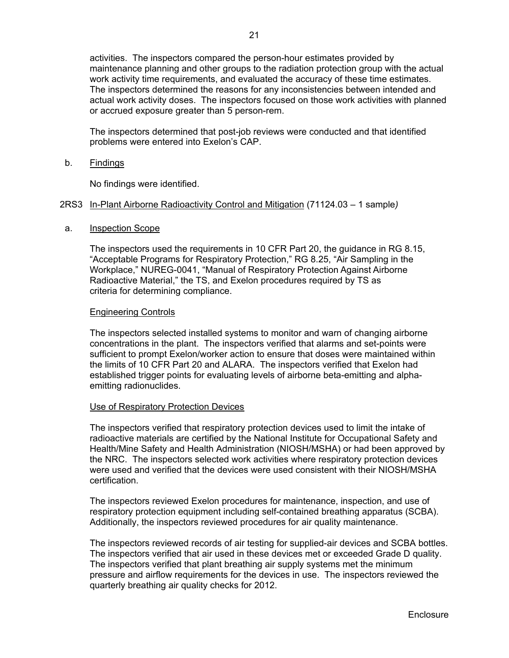activities. The inspectors compared the person-hour estimates provided by maintenance planning and other groups to the radiation protection group with the actual work activity time requirements, and evaluated the accuracy of these time estimates. The inspectors determined the reasons for any inconsistencies between intended and actual work activity doses. The inspectors focused on those work activities with planned or accrued exposure greater than 5 person-rem.

The inspectors determined that post-job reviews were conducted and that identified problems were entered into Exelon's CAP.

b. Findings

No findings were identified.

### 2RS3 In-Plant Airborne Radioactivity Control and Mitigation (71124.03 – 1 sample*)*

a. Inspection Scope

The inspectors used the requirements in 10 CFR Part 20, the guidance in RG 8.15, "Acceptable Programs for Respiratory Protection," RG 8.25, "Air Sampling in the Workplace," NUREG-0041, "Manual of Respiratory Protection Against Airborne Radioactive Material," the TS, and Exelon procedures required by TS as criteria for determining compliance.

### Engineering Controls

The inspectors selected installed systems to monitor and warn of changing airborne concentrations in the plant. The inspectors verified that alarms and set-points were sufficient to prompt Exelon/worker action to ensure that doses were maintained within the limits of 10 CFR Part 20 and ALARA. The inspectors verified that Exelon had established trigger points for evaluating levels of airborne beta-emitting and alphaemitting radionuclides.

## Use of Respiratory Protection Devices

The inspectors verified that respiratory protection devices used to limit the intake of radioactive materials are certified by the National Institute for Occupational Safety and Health/Mine Safety and Health Administration (NIOSH/MSHA) or had been approved by the NRC. The inspectors selected work activities where respiratory protection devices were used and verified that the devices were used consistent with their NIOSH/MSHA certification.

The inspectors reviewed Exelon procedures for maintenance, inspection, and use of respiratory protection equipment including self-contained breathing apparatus (SCBA). Additionally, the inspectors reviewed procedures for air quality maintenance.

The inspectors reviewed records of air testing for supplied-air devices and SCBA bottles. The inspectors verified that air used in these devices met or exceeded Grade D quality. The inspectors verified that plant breathing air supply systems met the minimum pressure and airflow requirements for the devices in use. The inspectors reviewed the quarterly breathing air quality checks for 2012.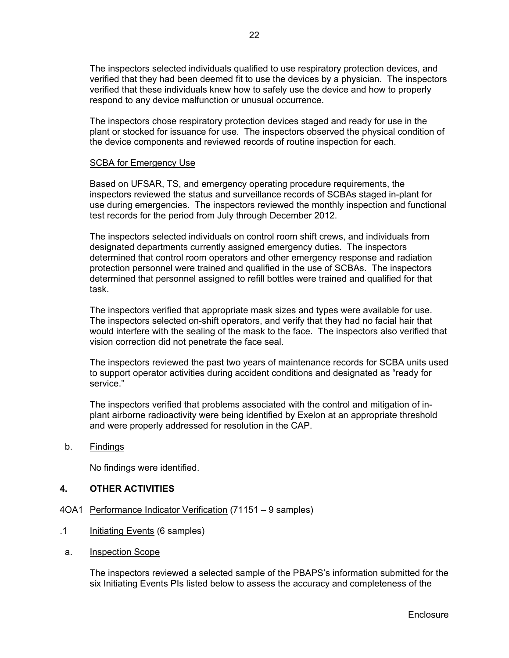The inspectors selected individuals qualified to use respiratory protection devices, and verified that they had been deemed fit to use the devices by a physician. The inspectors verified that these individuals knew how to safely use the device and how to properly respond to any device malfunction or unusual occurrence.

The inspectors chose respiratory protection devices staged and ready for use in the plant or stocked for issuance for use. The inspectors observed the physical condition of the device components and reviewed records of routine inspection for each.

### SCBA for Emergency Use

Based on UFSAR, TS, and emergency operating procedure requirements, the inspectors reviewed the status and surveillance records of SCBAs staged in-plant for use during emergencies. The inspectors reviewed the monthly inspection and functional test records for the period from July through December 2012.

The inspectors selected individuals on control room shift crews, and individuals from designated departments currently assigned emergency duties. The inspectors determined that control room operators and other emergency response and radiation protection personnel were trained and qualified in the use of SCBAs. The inspectors determined that personnel assigned to refill bottles were trained and qualified for that task.

The inspectors verified that appropriate mask sizes and types were available for use. The inspectors selected on-shift operators, and verify that they had no facial hair that would interfere with the sealing of the mask to the face. The inspectors also verified that vision correction did not penetrate the face seal.

The inspectors reviewed the past two years of maintenance records for SCBA units used to support operator activities during accident conditions and designated as "ready for service."

The inspectors verified that problems associated with the control and mitigation of inplant airborne radioactivity were being identified by Exelon at an appropriate threshold and were properly addressed for resolution in the CAP.

b. Findings

No findings were identified.

# **4. OTHER ACTIVITIES**

- 4OA1 Performance Indicator Verification (71151 9 samples)
- .1 Initiating Events (6 samples)
- a. Inspection Scope

The inspectors reviewed a selected sample of the PBAPS's information submitted for the six Initiating Events PIs listed below to assess the accuracy and completeness of the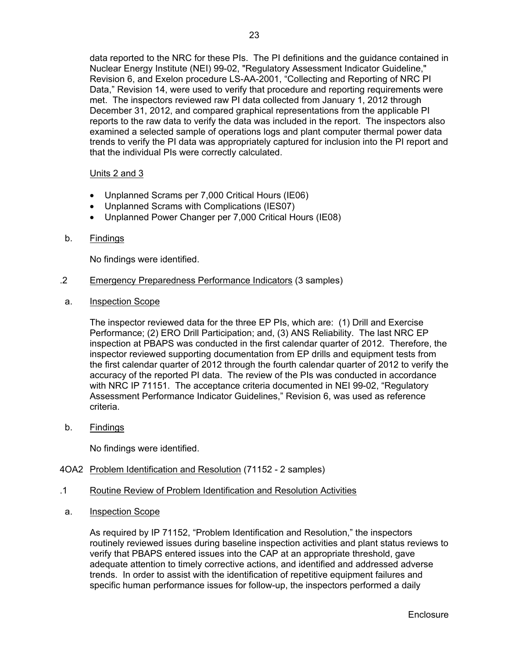data reported to the NRC for these PIs. The PI definitions and the guidance contained in Nuclear Energy Institute (NEI) 99-02, "Regulatory Assessment Indicator Guideline," Revision 6, and Exelon procedure LS-AA-2001, "Collecting and Reporting of NRC PI Data," Revision 14, were used to verify that procedure and reporting requirements were met. The inspectors reviewed raw PI data collected from January 1, 2012 through December 31, 2012, and compared graphical representations from the applicable PI reports to the raw data to verify the data was included in the report. The inspectors also examined a selected sample of operations logs and plant computer thermal power data trends to verify the PI data was appropriately captured for inclusion into the PI report and that the individual PIs were correctly calculated.

# Units 2 and 3

- Unplanned Scrams per 7,000 Critical Hours (IE06)
- Unplanned Scrams with Complications (IES07)
- Unplanned Power Changer per 7,000 Critical Hours (IE08)
- b. Findings

No findings were identified.

- .2 Emergency Preparedness Performance Indicators (3 samples)
- a. Inspection Scope

The inspector reviewed data for the three EP PIs, which are: (1) Drill and Exercise Performance; (2) ERO Drill Participation; and, (3) ANS Reliability. The last NRC EP inspection at PBAPS was conducted in the first calendar quarter of 2012. Therefore, the inspector reviewed supporting documentation from EP drills and equipment tests from the first calendar quarter of 2012 through the fourth calendar quarter of 2012 to verify the accuracy of the reported PI data. The review of the PIs was conducted in accordance with NRC IP 71151. The acceptance criteria documented in NEI 99-02, "Regulatory Assessment Performance Indicator Guidelines," Revision 6, was used as reference criteria.

b. Findings

No findings were identified.

- 4OA2 Problem Identification and Resolution (71152 2 samples)
- .1 Routine Review of Problem Identification and Resolution Activities
- a. Inspection Scope

As required by IP 71152, "Problem Identification and Resolution," the inspectors routinely reviewed issues during baseline inspection activities and plant status reviews to verify that PBAPS entered issues into the CAP at an appropriate threshold, gave adequate attention to timely corrective actions, and identified and addressed adverse trends. In order to assist with the identification of repetitive equipment failures and specific human performance issues for follow-up, the inspectors performed a daily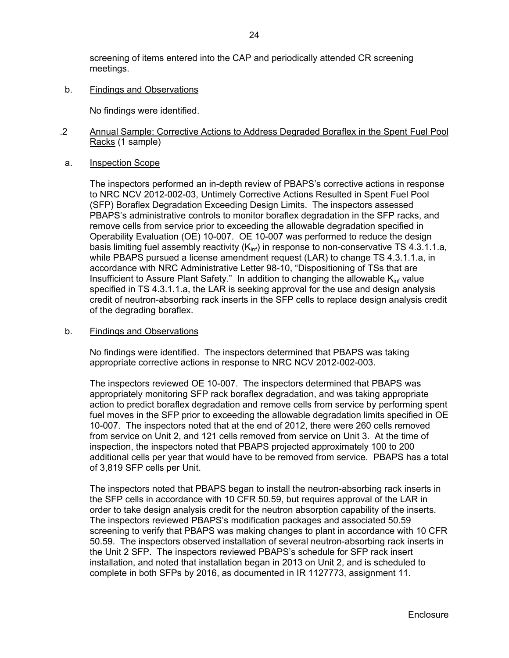screening of items entered into the CAP and periodically attended CR screening meetings.

b. Findings and Observations

No findings were identified.

- .2 Annual Sample: Corrective Actions to Address Degraded Boraflex in the Spent Fuel Pool Racks (1 sample)
- a. Inspection Scope

The inspectors performed an in-depth review of PBAPS's corrective actions in response to NRC NCV 2012-002-03, Untimely Corrective Actions Resulted in Spent Fuel Pool (SFP) Boraflex Degradation Exceeding Design Limits. The inspectors assessed PBAPS's administrative controls to monitor boraflex degradation in the SFP racks, and remove cells from service prior to exceeding the allowable degradation specified in Operability Evaluation (OE) 10-007. OE 10-007 was performed to reduce the design basis limiting fuel assembly reactivity  $(K_{\text{inf}})$  in response to non-conservative TS 4.3.1.1.a, while PBAPS pursued a license amendment request (LAR) to change TS 4.3.1.1.a, in accordance with NRC Administrative Letter 98-10, "Dispositioning of TSs that are Insufficient to Assure Plant Safety." In addition to changing the allowable  $K_{inf}$  value specified in TS 4.3.1.1.a, the LAR is seeking approval for the use and design analysis credit of neutron-absorbing rack inserts in the SFP cells to replace design analysis credit of the degrading boraflex.

#### b. Findings and Observations

No findings were identified. The inspectors determined that PBAPS was taking appropriate corrective actions in response to NRC NCV 2012-002-003.

The inspectors reviewed OE 10-007. The inspectors determined that PBAPS was appropriately monitoring SFP rack boraflex degradation, and was taking appropriate action to predict boraflex degradation and remove cells from service by performing spent fuel moves in the SFP prior to exceeding the allowable degradation limits specified in OE 10-007. The inspectors noted that at the end of 2012, there were 260 cells removed from service on Unit 2, and 121 cells removed from service on Unit 3. At the time of inspection, the inspectors noted that PBAPS projected approximately 100 to 200 additional cells per year that would have to be removed from service. PBAPS has a total of 3,819 SFP cells per Unit.

The inspectors noted that PBAPS began to install the neutron-absorbing rack inserts in the SFP cells in accordance with 10 CFR 50.59, but requires approval of the LAR in order to take design analysis credit for the neutron absorption capability of the inserts. The inspectors reviewed PBAPS's modification packages and associated 50.59 screening to verify that PBAPS was making changes to plant in accordance with 10 CFR 50.59. The inspectors observed installation of several neutron-absorbing rack inserts in the Unit 2 SFP. The inspectors reviewed PBAPS's schedule for SFP rack insert installation, and noted that installation began in 2013 on Unit 2, and is scheduled to complete in both SFPs by 2016, as documented in IR 1127773, assignment 11.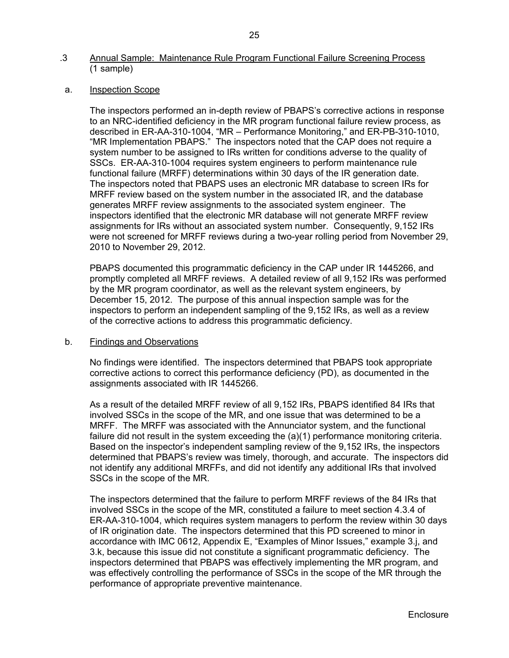# .3 Annual Sample: Maintenance Rule Program Functional Failure Screening Process (1 sample)

### a. Inspection Scope

The inspectors performed an in-depth review of PBAPS's corrective actions in response to an NRC-identified deficiency in the MR program functional failure review process, as described in ER-AA-310-1004, "MR – Performance Monitoring," and ER-PB-310-1010, "MR Implementation PBAPS." The inspectors noted that the CAP does not require a system number to be assigned to IRs written for conditions adverse to the quality of SSCs. ER-AA-310-1004 requires system engineers to perform maintenance rule functional failure (MRFF) determinations within 30 days of the IR generation date. The inspectors noted that PBAPS uses an electronic MR database to screen IRs for MRFF review based on the system number in the associated IR, and the database generates MRFF review assignments to the associated system engineer. The inspectors identified that the electronic MR database will not generate MRFF review assignments for IRs without an associated system number. Consequently, 9,152 IRs were not screened for MRFF reviews during a two-year rolling period from November 29, 2010 to November 29, 2012.

PBAPS documented this programmatic deficiency in the CAP under IR 1445266, and promptly completed all MRFF reviews. A detailed review of all 9,152 IRs was performed by the MR program coordinator, as well as the relevant system engineers, by December 15, 2012. The purpose of this annual inspection sample was for the inspectors to perform an independent sampling of the 9,152 IRs, as well as a review of the corrective actions to address this programmatic deficiency.

#### b. Findings and Observations

No findings were identified. The inspectors determined that PBAPS took appropriate corrective actions to correct this performance deficiency (PD), as documented in the assignments associated with IR 1445266.

As a result of the detailed MRFF review of all 9,152 IRs, PBAPS identified 84 IRs that involved SSCs in the scope of the MR, and one issue that was determined to be a MRFF. The MRFF was associated with the Annunciator system, and the functional failure did not result in the system exceeding the (a)(1) performance monitoring criteria. Based on the inspector's independent sampling review of the 9,152 IRs, the inspectors determined that PBAPS's review was timely, thorough, and accurate. The inspectors did not identify any additional MRFFs, and did not identify any additional IRs that involved SSCs in the scope of the MR.

The inspectors determined that the failure to perform MRFF reviews of the 84 IRs that involved SSCs in the scope of the MR, constituted a failure to meet section 4.3.4 of ER-AA-310-1004, which requires system managers to perform the review within 30 days of IR origination date. The inspectors determined that this PD screened to minor in accordance with IMC 0612, Appendix E, "Examples of Minor Issues," example 3.j, and 3.k, because this issue did not constitute a significant programmatic deficiency. The inspectors determined that PBAPS was effectively implementing the MR program, and was effectively controlling the performance of SSCs in the scope of the MR through the performance of appropriate preventive maintenance.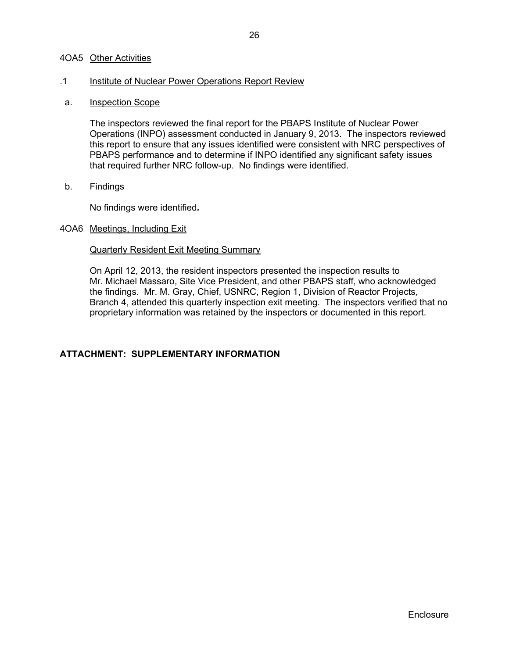## 4OA5 Other Activities

### .1 Institute of Nuclear Power Operations Report Review

a. Inspection Scope

The inspectors reviewed the final report for the PBAPS Institute of Nuclear Power Operations (INPO) assessment conducted in January 9, 2013. The inspectors reviewed this report to ensure that any issues identified were consistent with NRC perspectives of PBAPS performance and to determine if INPO identified any significant safety issues that required further NRC follow-up. No findings were identified.

b. Findings

No findings were identified*.* 

### 4OA6 Meetings, Including Exit

### Quarterly Resident Exit Meeting Summary

On April 12, 2013, the resident inspectors presented the inspection results to Mr. Michael Massaro, Site Vice President, and other PBAPS staff, who acknowledged the findings. Mr. M. Gray, Chief, USNRC, Region 1, Division of Reactor Projects, Branch 4, attended this quarterly inspection exit meeting. The inspectors verified that no proprietary information was retained by the inspectors or documented in this report.

# **ATTACHMENT: SUPPLEMENTARY INFORMATION**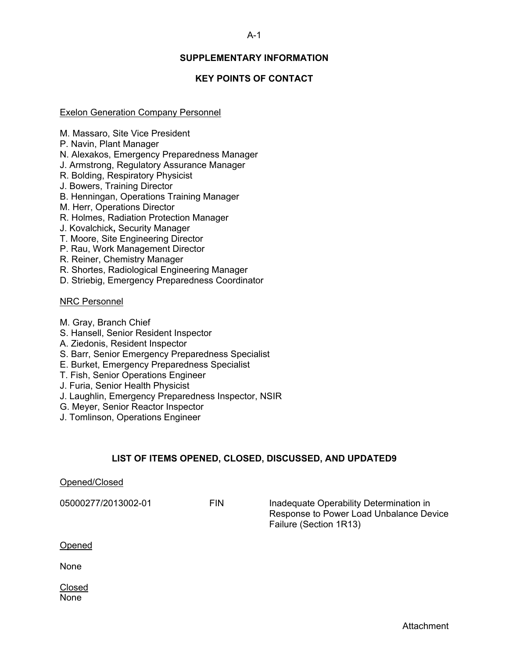## A-1

# **SUPPLEMENTARY INFORMATION**

# **KEY POINTS OF CONTACT**

### Exelon Generation Company Personnel

M. Massaro, Site Vice President

- P. Navin, Plant Manager
- N. Alexakos, Emergency Preparedness Manager
- J. Armstrong, Regulatory Assurance Manager
- R. Bolding, Respiratory Physicist
- J. Bowers, Training Director
- B. Henningan, Operations Training Manager
- M. Herr, Operations Director
- R. Holmes, Radiation Protection Manager
- J. Kovalchick**,** Security Manager
- T. Moore, Site Engineering Director
- P. Rau, Work Management Director
- R. Reiner, Chemistry Manager
- R. Shortes, Radiological Engineering Manager
- D. Striebig, Emergency Preparedness Coordinator

### NRC Personnel

- M. Gray, Branch Chief
- S. Hansell, Senior Resident Inspector
- A. Ziedonis, Resident Inspector
- S. Barr, Senior Emergency Preparedness Specialist
- E. Burket, Emergency Preparedness Specialist
- T. Fish, Senior Operations Engineer
- J. Furia, Senior Health Physicist
- J. Laughlin, Emergency Preparedness Inspector, NSIR
- G. Meyer, Senior Reactor Inspector
- J. Tomlinson, Operations Engineer

# **LIST OF ITEMS OPENED, CLOSED, DISCUSSED, AND UPDATED9**

Opened/Closed

05000277/2013002-01 FIN Inadequate Operability Determination in Response to Power Load Unbalance Device Failure (Section 1R13)

Opened

None

Closed None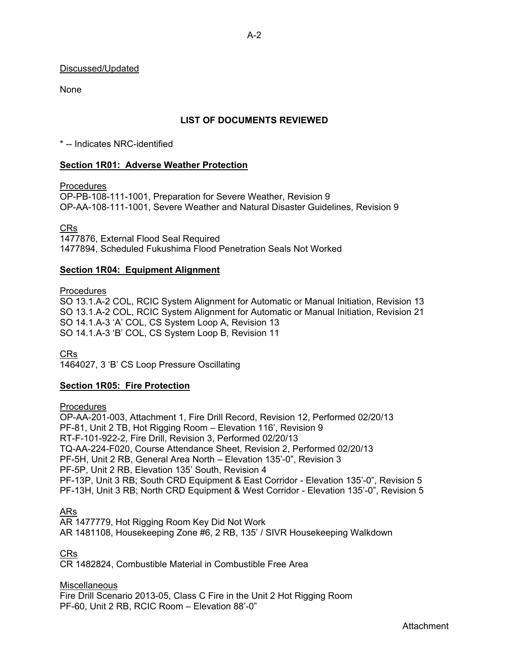# Discussed/Updated

None

# **LIST OF DOCUMENTS REVIEWED**

\* -- Indicates NRC-identified

## **Section 1R01: Adverse Weather Protection**

## **Procedures**

OP-PB-108-111-1001, Preparation for Severe Weather, Revision 9 OP-AA-108-111-1001, Severe Weather and Natural Disaster Guidelines, Revision 9

CRs

1477876, External Flood Seal Required 1477894, Scheduled Fukushima Flood Penetration Seals Not Worked

# **Section 1R04: Equipment Alignment**

Procedures

SO 13.1.A-2 COL, RCIC System Alignment for Automatic or Manual Initiation, Revision 13 SO 13.1.A-2 COL, RCIC System Alignment for Automatic or Manual Initiation, Revision 21 SO 14.1.A-3 'A' COL, CS System Loop A, Revision 13 SO 14.1.A-3 'B' COL, CS System Loop B, Revision 11

CRs

1464027, 3 'B' CS Loop Pressure Oscillating

## **Section 1R05: Fire Protection**

**Procedures** 

OP-AA-201-003, Attachment 1, Fire Drill Record, Revision 12, Performed 02/20/13 PF-81, Unit 2 TB, Hot Rigging Room – Elevation 116', Revision 9 RT-F-101-922-2, Fire Drill, Revision 3, Performed 02/20/13 TQ-AA-224-F020, Course Attendance Sheet, Revision 2, Performed 02/20/13 PF-5H, Unit 2 RB, General Area North – Elevation 135'-0", Revision 3 PF-5P, Unit 2 RB, Elevation 135' South, Revision 4 PF-13P, Unit 3 RB; South CRD Equipment & East Corridor - Elevation 135'-0", Revision 5 PF-13H, Unit 3 RB; North CRD Equipment & West Corridor - Elevation 135'-0", Revision 5

## ARs

AR 1477779, Hot Rigging Room Key Did Not Work AR 1481108, Housekeeping Zone #6, 2 RB, 135' / SIVR Housekeeping Walkdown

CRs

CR 1482824, Combustible Material in Combustible Free Area

## **Miscellaneous**

Fire Drill Scenario 2013-05, Class C Fire in the Unit 2 Hot Rigging Room PF-60, Unit 2 RB, RCIC Room – Elevation 88'-0"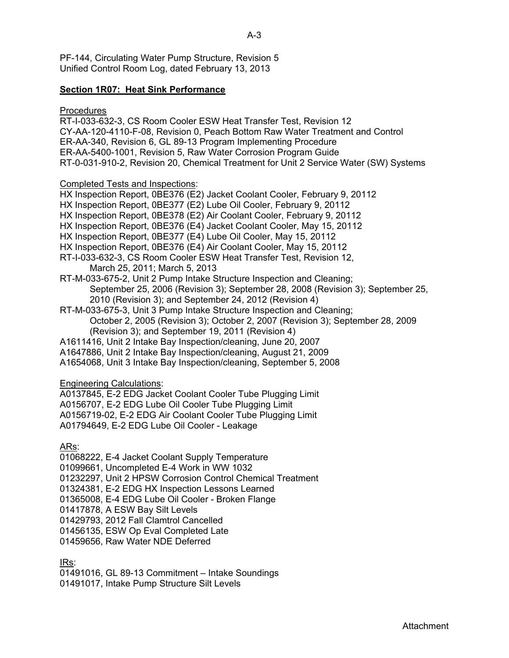PF-144, Circulating Water Pump Structure, Revision 5 Unified Control Room Log, dated February 13, 2013

## **Section 1R07: Heat Sink Performance**

## **Procedures**

RT-I-033-632-3, CS Room Cooler ESW Heat Transfer Test, Revision 12 CY-AA-120-4110-F-08, Revision 0, Peach Bottom Raw Water Treatment and Control ER-AA-340, Revision 6, GL 89-13 Program Implementing Procedure ER-AA-5400-1001, Revision 5, Raw Water Corrosion Program Guide RT-0-031-910-2, Revision 20, Chemical Treatment for Unit 2 Service Water (SW) Systems

# Completed Tests and Inspections:

HX Inspection Report, 0BE376 (E2) Jacket Coolant Cooler, February 9, 20112 HX Inspection Report, 0BE377 (E2) Lube Oil Cooler, February 9, 20112 HX Inspection Report, 0BE378 (E2) Air Coolant Cooler, February 9, 20112 HX Inspection Report, 0BE376 (E4) Jacket Coolant Cooler, May 15, 20112 HX Inspection Report, 0BE377 (E4) Lube Oil Cooler, May 15, 20112 HX Inspection Report, 0BE376 (E4) Air Coolant Cooler, May 15, 20112 RT-I-033-632-3, CS Room Cooler ESW Heat Transfer Test, Revision 12, March 25, 2011; March 5, 2013 RT-M-033-675-2, Unit 2 Pump Intake Structure Inspection and Cleaning; September 25, 2006 (Revision 3); September 28, 2008 (Revision 3); September 25, 2010 (Revision 3); and September 24, 2012 (Revision 4) RT-M-033-675-3, Unit 3 Pump Intake Structure Inspection and Cleaning; October 2, 2005 (Revision 3); October 2, 2007 (Revision 3); September 28, 2009 (Revision 3); and September 19, 2011 (Revision 4) A1611416, Unit 2 Intake Bay Inspection/cleaning, June 20, 2007 A1647886, Unit 2 Intake Bay Inspection/cleaning, August 21, 2009 A1654068, Unit 3 Intake Bay Inspection/cleaning, September 5, 2008 Engineering Calculations:

A0137845, E-2 EDG Jacket Coolant Cooler Tube Plugging Limit A0156707, E-2 EDG Lube Oil Cooler Tube Plugging Limit A0156719-02, E-2 EDG Air Coolant Cooler Tube Plugging Limit A01794649, E-2 EDG Lube Oil Cooler - Leakage

ARs:

01068222, E-4 Jacket Coolant Supply Temperature

01099661, Uncompleted E-4 Work in WW 1032

01232297, Unit 2 HPSW Corrosion Control Chemical Treatment

01324381, E-2 EDG HX Inspection Lessons Learned

01365008, E-4 EDG Lube Oil Cooler - Broken Flange

01417878, A ESW Bay Silt Levels

01429793, 2012 Fall Clamtrol Cancelled

01456135, ESW Op Eval Completed Late

01459656, Raw Water NDE Deferred

IRs:

01491016, GL 89-13 Commitment – Intake Soundings

01491017, Intake Pump Structure Silt Levels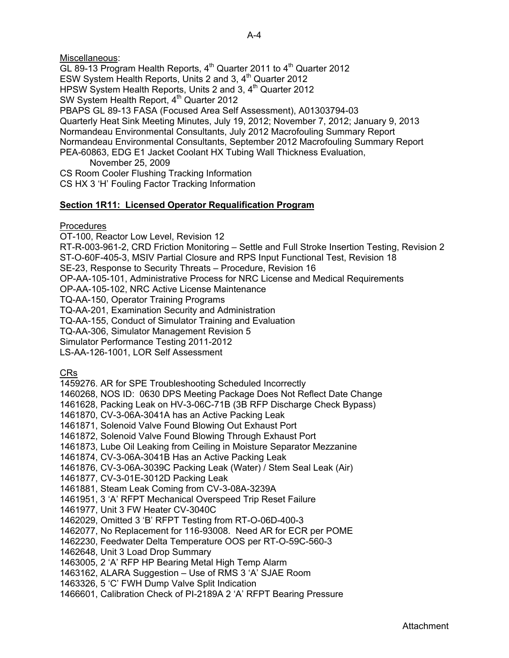Miscellaneous:

GL 89-13 Program Health Reports,  $4^{\text{th}}$  Quarter 2011 to  $4^{\text{th}}$  Quarter 2012

ESW System Health Reports, Units 2 and 3, 4<sup>th</sup> Quarter 2012

HPSW System Health Reports, Units 2 and 3,  $4<sup>th</sup>$  Quarter 2012

SW System Health Report, 4<sup>th</sup> Quarter 2012

PBAPS GL 89-13 FASA (Focused Area Self Assessment), A01303794-03

Quarterly Heat Sink Meeting Minutes, July 19, 2012; November 7, 2012; January 9, 2013 Normandeau Environmental Consultants, July 2012 Macrofouling Summary Report

Normandeau Environmental Consultants, September 2012 Macrofouling Summary Report

PEA-60863, EDG E1 Jacket Coolant HX Tubing Wall Thickness Evaluation,

November 25, 2009

CS Room Cooler Flushing Tracking Information

CS HX 3 'H' Fouling Factor Tracking Information

# **Section 1R11: Licensed Operator Requalification Program**

# **Procedures**

OT-100, Reactor Low Level, Revision 12

RT-R-003-961-2, CRD Friction Monitoring – Settle and Full Stroke Insertion Testing, Revision 2

ST-O-60F-405-3, MSIV Partial Closure and RPS Input Functional Test, Revision 18

SE-23, Response to Security Threats – Procedure, Revision 16

OP-AA-105-101, Administrative Process for NRC License and Medical Requirements

OP-AA-105-102, NRC Active License Maintenance

TQ-AA-150, Operator Training Programs

TQ-AA-201, Examination Security and Administration

TQ-AA-155, Conduct of Simulator Training and Evaluation

TQ-AA-306, Simulator Management Revision 5

Simulator Performance Testing 2011-2012

LS-AA-126-1001, LOR Self Assessment

CRs

1459276. AR for SPE Troubleshooting Scheduled Incorrectly

1460268, NOS ID: 0630 DPS Meeting Package Does Not Reflect Date Change

1461628, Packing Leak on HV-3-06C-71B (3B RFP Discharge Check Bypass)

1461870, CV-3-06A-3041A has an Active Packing Leak

1461871, Solenoid Valve Found Blowing Out Exhaust Port

1461872, Solenoid Valve Found Blowing Through Exhaust Port

1461873, Lube Oil Leaking from Ceiling in Moisture Separator Mezzanine

1461874, CV-3-06A-3041B Has an Active Packing Leak

1461876, CV-3-06A-3039C Packing Leak (Water) / Stem Seal Leak (Air)

1461877, CV-3-01E-3012D Packing Leak

1461881, Steam Leak Coming from CV-3-08A-3239A

1461951, 3 'A' RFPT Mechanical Overspeed Trip Reset Failure

1461977, Unit 3 FW Heater CV-3040C

- 1462029, Omitted 3 'B' RFPT Testing from RT-O-06D-400-3
- 1462077, No Replacement for 116-93008. Need AR for ECR per POME

1462230, Feedwater Delta Temperature OOS per RT-O-59C-560-3

1462648, Unit 3 Load Drop Summary

1463005, 2 'A' RFP HP Bearing Metal High Temp Alarm

1463162, ALARA Suggestion – Use of RMS 3 'A' SJAE Room

1463326, 5 'C' FWH Dump Valve Split Indication

1466601, Calibration Check of PI-2189A 2 'A' RFPT Bearing Pressure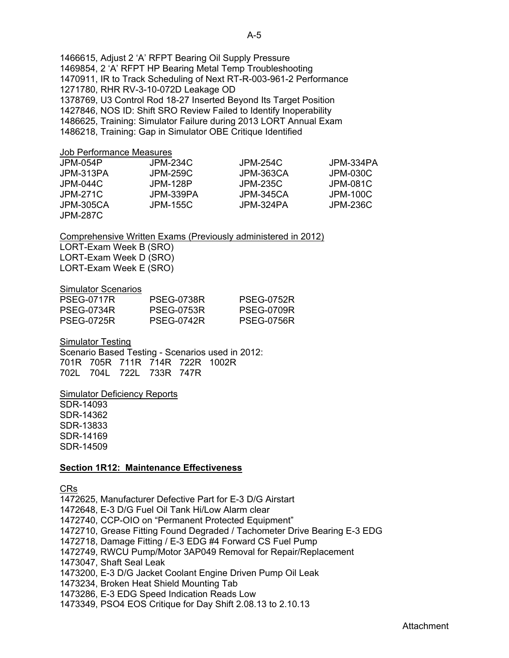1466615, Adjust 2 'A' RFPT Bearing Oil Supply Pressure 1469854, 2 'A' RFPT HP Bearing Metal Temp Troubleshooting 1470911, IR to Track Scheduling of Next RT-R-003-961-2 Performance 1271780, RHR RV-3-10-072D Leakage OD 1378769, U3 Control Rod 18-27 Inserted Beyond Its Target Position 1427846, NOS ID: Shift SRO Review Failed to Identify Inoperability 1486625, Training: Simulator Failure during 2013 LORT Annual Exam 1486218, Training: Gap in Simulator OBE Critique Identified

### Job Performance Measures

| JPM-054P  | JPM-234C  | JPM-254C  | JPM-334PA |
|-----------|-----------|-----------|-----------|
| JPM-313PA | JPM-259C  | JPM-363CA | JPM-030C  |
| JPM-044C  | JPM-128P  | JPM-235C  | JPM-081C  |
| JPM-271C  | JPM-339PA | JPM-345CA | JPM-100C  |
| JPM-305CA | JPM-155C  | JPM-324PA | JPM-236C  |
| JPM-287C  |           |           |           |

Comprehensive Written Exams (Previously administered in 2012) LORT-Exam Week B (SRO) LORT-Exam Week D (SRO) LORT-Exam Week E (SRO)

### Simulator Scenarios

| PSEG-0717R        | PSEG-0738R        | <b>PSEG-0752R</b> |
|-------------------|-------------------|-------------------|
| <b>PSFG-0734R</b> | <b>PSEG-0753R</b> | PSEG-0709R        |
| <b>PSEG-0725R</b> | PSEG-0742R        | <b>PSEG-0756R</b> |

**Simulator Testing** 

Scenario Based Testing - Scenarios used in 2012: 701R 705R 711R 714R 722R 1002R 702L 704L 722L 733R 747R

## **Simulator Deficiency Reports**

SDR-14093 SDR-14362 SDR-13833 SDR-14169 SDR-14509

## **Section 1R12: Maintenance Effectiveness**

CRs

1472625, Manufacturer Defective Part for E-3 D/G Airstart 1472648, E-3 D/G Fuel Oil Tank Hi/Low Alarm clear 1472740, CCP-OIO on "Permanent Protected Equipment" 1472710, Grease Fitting Found Degraded / Tachometer Drive Bearing E-3 EDG 1472718, Damage Fitting / E-3 EDG #4 Forward CS Fuel Pump 1472749, RWCU Pump/Motor 3AP049 Removal for Repair/Replacement 1473047, Shaft Seal Leak 1473200, E-3 D/G Jacket Coolant Engine Driven Pump Oil Leak 1473234, Broken Heat Shield Mounting Tab 1473286, E-3 EDG Speed Indication Reads Low 1473349, PSO4 EOS Critique for Day Shift 2.08.13 to 2.10.13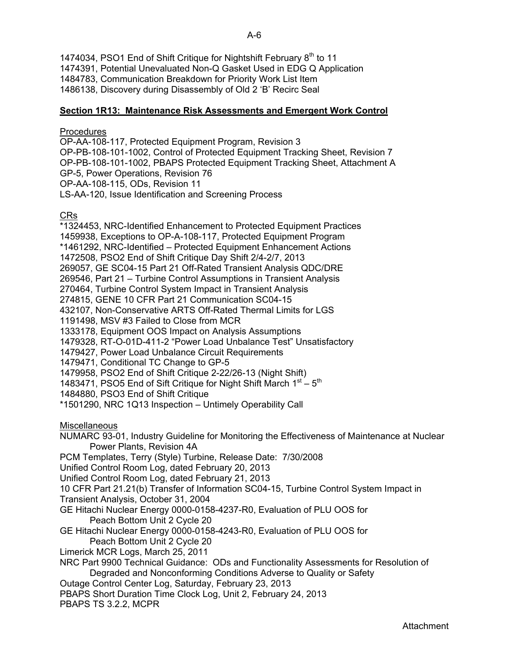1474034, PSO1 End of Shift Critique for Nightshift February 8<sup>th</sup> to 11 1474391, Potential Unevaluated Non-Q Gasket Used in EDG Q Application 1484783, Communication Breakdown for Priority Work List Item 1486138, Discovery during Disassembly of Old 2 'B' Recirc Seal

# **Section 1R13: Maintenance Risk Assessments and Emergent Work Control**

## **Procedures**

OP-AA-108-117, Protected Equipment Program, Revision 3 OP-PB-108-101-1002, Control of Protected Equipment Tracking Sheet, Revision 7 OP-PB-108-101-1002, PBAPS Protected Equipment Tracking Sheet, Attachment A GP-5, Power Operations, Revision 76 OP-AA-108-115, ODs, Revision 11 LS-AA-120, Issue Identification and Screening Process

CRs

\*1324453, NRC-Identified Enhancement to Protected Equipment Practices 1459938, Exceptions to OP-A-108-117, Protected Equipment Program \*1461292, NRC-Identified – Protected Equipment Enhancement Actions 1472508, PSO2 End of Shift Critique Day Shift 2/4-2/7, 2013 269057, GE SC04-15 Part 21 Off-Rated Transient Analysis QDC/DRE 269546, Part 21 – Turbine Control Assumptions in Transient Analysis 270464, Turbine Control System Impact in Transient Analysis 274815, GENE 10 CFR Part 21 Communication SC04-15 432107, Non-Conservative ARTS Off-Rated Thermal Limits for LGS 1191498, MSV #3 Failed to Close from MCR 1333178, Equipment OOS Impact on Analysis Assumptions 1479328, RT-O-01D-411-2 "Power Load Unbalance Test" Unsatisfactory 1479427, Power Load Unbalance Circuit Requirements 1479471, Conditional TC Change to GP-5 1479958, PSO2 End of Shift Critique 2-22/26-13 (Night Shift) 1483471, PSO5 End of Sift Critique for Night Shift March  $1<sup>st</sup> - 5<sup>th</sup>$ 1484880, PSO3 End of Shift Critique \*1501290, NRC 1Q13 Inspection – Untimely Operability Call **Miscellaneous** NUMARC 93-01, Industry Guideline for Monitoring the Effectiveness of Maintenance at Nuclear Power Plants, Revision 4A PCM Templates, Terry (Style) Turbine, Release Date: 7/30/2008 Unified Control Room Log, dated February 20, 2013 Unified Control Room Log, dated February 21, 2013 10 CFR Part 21.21(b) Transfer of Information SC04-15, Turbine Control System Impact in Transient Analysis, October 31, 2004 GE Hitachi Nuclear Energy 0000-0158-4237-R0, Evaluation of PLU OOS for Peach Bottom Unit 2 Cycle 20 GE Hitachi Nuclear Energy 0000-0158-4243-R0, Evaluation of PLU OOS for Peach Bottom Unit 2 Cycle 20 Limerick MCR Logs, March 25, 2011 NRC Part 9900 Technical Guidance: ODs and Functionality Assessments for Resolution of Degraded and Nonconforming Conditions Adverse to Quality or Safety Outage Control Center Log, Saturday, February 23, 2013 PBAPS Short Duration Time Clock Log, Unit 2, February 24, 2013 PBAPS TS 3.2.2, MCPR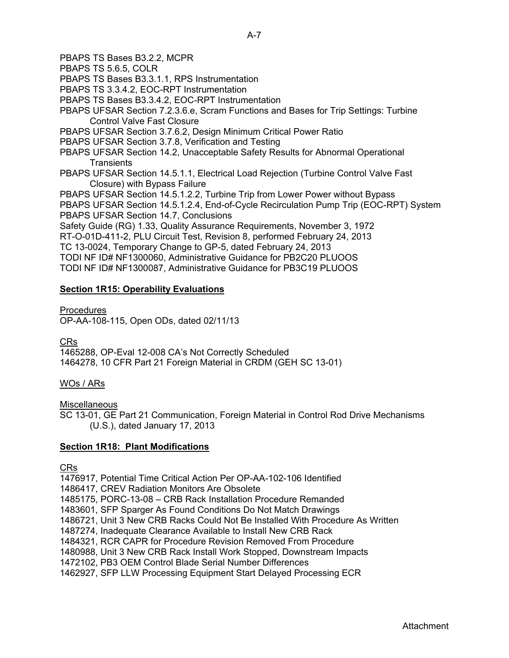PBAPS TS Bases B3.2.2, MCPR

PBAPS TS 5.6.5, COLR

PBAPS TS Bases B3.3.1.1, RPS Instrumentation

PBAPS TS 3.3.4.2, EOC-RPT Instrumentation

PBAPS TS Bases B3.3.4.2, EOC-RPT Instrumentation

PBAPS UFSAR Section 7.2.3.6.e, Scram Functions and Bases for Trip Settings: Turbine Control Valve Fast Closure

PBAPS UFSAR Section 3.7.6.2, Design Minimum Critical Power Ratio

PBAPS UFSAR Section 3.7.8, Verification and Testing

PBAPS UFSAR Section 14.2, Unacceptable Safety Results for Abnormal Operational **Transients** 

PBAPS UFSAR Section 14.5.1.1, Electrical Load Rejection (Turbine Control Valve Fast Closure) with Bypass Failure

PBAPS UFSAR Section 14.5.1.2.2, Turbine Trip from Lower Power without Bypass PBAPS UFSAR Section 14.5.1.2.4, End-of-Cycle Recirculation Pump Trip (EOC-RPT) System PBAPS UFSAR Section 14.7, Conclusions Safety Guide (RG) 1.33, Quality Assurance Requirements, November 3, 1972 RT-O-01D-411-2, PLU Circuit Test, Revision 8, performed February 24, 2013 TC 13-0024, Temporary Change to GP-5, dated February 24, 2013 TODI NF ID# NF1300060, Administrative Guidance for PB2C20 PLUOOS

TODI NF ID# NF1300087, Administrative Guidance for PB3C19 PLUOOS

## **Section 1R15: Operability Evaluations**

**Procedures** 

OP-AA-108-115, Open ODs, dated 02/11/13

CRs

1465288, OP-Eval 12-008 CA's Not Correctly Scheduled 1464278, 10 CFR Part 21 Foreign Material in CRDM (GEH SC 13-01)

## WOs / ARs

Miscellaneous

SC 13-01, GE Part 21 Communication, Foreign Material in Control Rod Drive Mechanisms (U.S.), dated January 17, 2013

## **Section 1R18: Plant Modifications**

CRs

1476917, Potential Time Critical Action Per OP-AA-102-106 Identified 1486417, CREV Radiation Monitors Are Obsolete 1485175, PORC-13-08 – CRB Rack Installation Procedure Remanded 1483601, SFP Sparger As Found Conditions Do Not Match Drawings 1486721, Unit 3 New CRB Racks Could Not Be Installed With Procedure As Written 1487274, Inadequate Clearance Available to Install New CRB Rack 1484321, RCR CAPR for Procedure Revision Removed From Procedure 1480988, Unit 3 New CRB Rack Install Work Stopped, Downstream Impacts 1472102, PB3 OEM Control Blade Serial Number Differences 1462927, SFP LLW Processing Equipment Start Delayed Processing ECR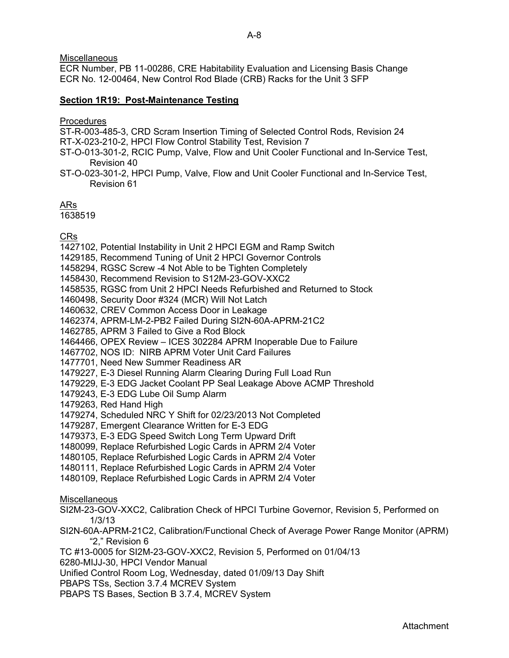# **Miscellaneous**

ECR Number, PB 11-00286, CRE Habitability Evaluation and Licensing Basis Change ECR No. 12-00464, New Control Rod Blade (CRB) Racks for the Unit 3 SFP

# **Section 1R19: Post-Maintenance Testing**

**Procedures** 

ST-R-003-485-3, CRD Scram Insertion Timing of Selected Control Rods, Revision 24

- RT-X-023-210-2, HPCI Flow Control Stability Test, Revision 7
- ST-O-013-301-2, RCIC Pump, Valve, Flow and Unit Cooler Functional and In-Service Test, Revision 40
- ST-O-023-301-2, HPCI Pump, Valve, Flow and Unit Cooler Functional and In-Service Test, Revision 61

# ARs

1638519

CRs

1427102, Potential Instability in Unit 2 HPCI EGM and Ramp Switch

- 1429185, Recommend Tuning of Unit 2 HPCI Governor Controls
- 1458294, RGSC Screw -4 Not Able to be Tighten Completely
- 1458430, Recommend Revision to S12M-23-GOV-XXC2
- 1458535, RGSC from Unit 2 HPCI Needs Refurbished and Returned to Stock

1460498, Security Door #324 (MCR) Will Not Latch

1460632, CREV Common Access Door in Leakage

1462374, APRM-LM-2-PB2 Failed During SI2N-60A-APRM-21C2

1462785, APRM 3 Failed to Give a Rod Block

- 1464466, OPEX Review ICES 302284 APRM Inoperable Due to Failure
- 1467702, NOS ID: NIRB APRM Voter Unit Card Failures
- 1477701, Need New Summer Readiness AR
- 1479227, E-3 Diesel Running Alarm Clearing During Full Load Run
- 1479229, E-3 EDG Jacket Coolant PP Seal Leakage Above ACMP Threshold
- 1479243, E-3 EDG Lube Oil Sump Alarm
- 1479263, Red Hand High
- 1479274, Scheduled NRC Y Shift for 02/23/2013 Not Completed
- 1479287, Emergent Clearance Written for E-3 EDG
- 1479373, E-3 EDG Speed Switch Long Term Upward Drift
- 1480099, Replace Refurbished Logic Cards in APRM 2/4 Voter
- 1480105, Replace Refurbished Logic Cards in APRM 2/4 Voter
- 1480111, Replace Refurbished Logic Cards in APRM 2/4 Voter
- 1480109, Replace Refurbished Logic Cards in APRM 2/4 Voter

## Miscellaneous

- SI2M-23-GOV-XXC2, Calibration Check of HPCI Turbine Governor, Revision 5, Performed on 1/3/13
- SI2N-60A-APRM-21C2, Calibration/Functional Check of Average Power Range Monitor (APRM) "2," Revision 6
- TC #13-0005 for SI2M-23-GOV-XXC2, Revision 5, Performed on 01/04/13
- 6280-MIJJ-30, HPCI Vendor Manual
- Unified Control Room Log, Wednesday, dated 01/09/13 Day Shift
- PBAPS TSs, Section 3.7.4 MCREV System
- PBAPS TS Bases, Section B 3.7.4, MCREV System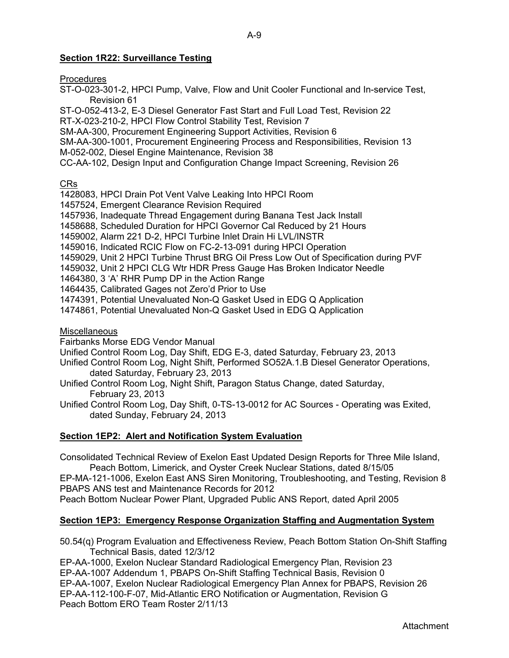# **Section 1R22: Surveillance Testing**

**Procedures** 

ST-O-023-301-2, HPCI Pump, Valve, Flow and Unit Cooler Functional and In-service Test, Revision 61

ST-O-052-413-2, E-3 Diesel Generator Fast Start and Full Load Test, Revision 22

RT-X-023-210-2, HPCI Flow Control Stability Test, Revision 7

SM-AA-300, Procurement Engineering Support Activities, Revision 6

SM-AA-300-1001, Procurement Engineering Process and Responsibilities, Revision 13 M-052-002, Diesel Engine Maintenance, Revision 38

CC-AA-102, Design Input and Configuration Change Impact Screening, Revision 26

CRs

- 1428083, HPCI Drain Pot Vent Valve Leaking Into HPCI Room
- 1457524, Emergent Clearance Revision Required
- 1457936, Inadequate Thread Engagement during Banana Test Jack Install
- 1458688, Scheduled Duration for HPCI Governor Cal Reduced by 21 Hours

1459002, Alarm 221 D-2, HPCI Turbine Inlet Drain Hi LVL/INSTR

1459016, Indicated RCIC Flow on FC-2-13-091 during HPCI Operation

- 1459029, Unit 2 HPCI Turbine Thrust BRG Oil Press Low Out of Specification during PVF
- 1459032, Unit 2 HPCI CLG Wtr HDR Press Gauge Has Broken Indicator Needle
- 1464380, 3 'A' RHR Pump DP in the Action Range
- 1464435, Calibrated Gages not Zero'd Prior to Use
- 1474391, Potential Unevaluated Non-Q Gasket Used in EDG Q Application
- 1474861, Potential Unevaluated Non-Q Gasket Used in EDG Q Application

**Miscellaneous** 

Fairbanks Morse EDG Vendor Manual

Unified Control Room Log, Day Shift, EDG E-3, dated Saturday, February 23, 2013

- Unified Control Room Log, Night Shift, Performed SO52A.1.B Diesel Generator Operations, dated Saturday, February 23, 2013
- Unified Control Room Log, Night Shift, Paragon Status Change, dated Saturday, February 23, 2013
- Unified Control Room Log, Day Shift, 0-TS-13-0012 for AC Sources Operating was Exited, dated Sunday, February 24, 2013

# **Section 1EP2: Alert and Notification System Evaluation**

Consolidated Technical Review of Exelon East Updated Design Reports for Three Mile Island, Peach Bottom, Limerick, and Oyster Creek Nuclear Stations, dated 8/15/05

EP-MA-121-1006, Exelon East ANS Siren Monitoring, Troubleshooting, and Testing, Revision 8 PBAPS ANS test and Maintenance Records for 2012

Peach Bottom Nuclear Power Plant, Upgraded Public ANS Report, dated April 2005

# **Section 1EP3: Emergency Response Organization Staffing and Augmentation System**

50.54(q) Program Evaluation and Effectiveness Review, Peach Bottom Station On-Shift Staffing Technical Basis, dated 12/3/12

EP-AA-1000, Exelon Nuclear Standard Radiological Emergency Plan, Revision 23 EP-AA-1007 Addendum 1, PBAPS On-Shift Staffing Technical Basis, Revision 0 EP-AA-1007, Exelon Nuclear Radiological Emergency Plan Annex for PBAPS, Revision 26 EP-AA-112-100-F-07, Mid-Atlantic ERO Notification or Augmentation, Revision G Peach Bottom ERO Team Roster 2/11/13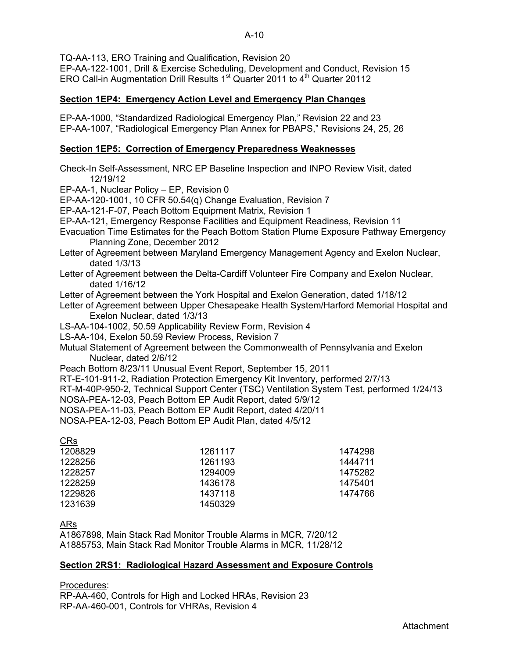TQ-AA-113, ERO Training and Qualification, Revision 20

EP-AA-122-1001, Drill & Exercise Scheduling, Development and Conduct, Revision 15 ERO Call-in Augmentation Drill Results  $1<sup>st</sup>$  Quarter 2011 to  $4<sup>th</sup>$  Quarter 20112

# **Section 1EP4: Emergency Action Level and Emergency Plan Changes**

EP-AA-1000, "Standardized Radiological Emergency Plan," Revision 22 and 23 EP-AA-1007, "Radiological Emergency Plan Annex for PBAPS," Revisions 24, 25, 26

# **Section 1EP5: Correction of Emergency Preparedness Weaknesses**

Check-In Self-Assessment, NRC EP Baseline Inspection and INPO Review Visit, dated 12/19/12

EP-AA-1, Nuclear Policy – EP, Revision 0

EP-AA-120-1001, 10 CFR 50.54(q) Change Evaluation, Revision 7

EP-AA-121-F-07, Peach Bottom Equipment Matrix, Revision 1

EP-AA-121, Emergency Response Facilities and Equipment Readiness, Revision 11

- Evacuation Time Estimates for the Peach Bottom Station Plume Exposure Pathway Emergency Planning Zone, December 2012
- Letter of Agreement between Maryland Emergency Management Agency and Exelon Nuclear, dated 1/3/13
- Letter of Agreement between the Delta-Cardiff Volunteer Fire Company and Exelon Nuclear, dated 1/16/12

Letter of Agreement between the York Hospital and Exelon Generation, dated 1/18/12

- Letter of Agreement between Upper Chesapeake Health System/Harford Memorial Hospital and Exelon Nuclear, dated 1/3/13
- LS-AA-104-1002, 50.59 Applicability Review Form, Revision 4
- LS-AA-104, Exelon 50.59 Review Process, Revision 7
- Mutual Statement of Agreement between the Commonwealth of Pennsylvania and Exelon Nuclear, dated 2/6/12
- Peach Bottom 8/23/11 Unusual Event Report, September 15, 2011
- RT-E-101-911-2, Radiation Protection Emergency Kit Inventory, performed 2/7/13
- RT-M-40P-950-2, Technical Support Center (TSC) Ventilation System Test, performed 1/24/13
- NOSA-PEA-12-03, Peach Bottom EP Audit Report, dated 5/9/12
- NOSA-PEA-11-03, Peach Bottom EP Audit Report, dated 4/20/11

NOSA-PEA-12-03, Peach Bottom EP Audit Plan, dated 4/5/12

CRs

| 1208829 | 1261117 | 1474298 |
|---------|---------|---------|
| 1228256 | 1261193 | 1444711 |
| 1228257 | 1294009 | 1475282 |
| 1228259 | 1436178 | 1475401 |
| 1229826 | 1437118 | 1474766 |
| 1231639 | 1450329 |         |

## ARs

A1867898, Main Stack Rad Monitor Trouble Alarms in MCR, 7/20/12 A1885753, Main Stack Rad Monitor Trouble Alarms in MCR, 11/28/12

## **Section 2RS1: Radiological Hazard Assessment and Exposure Controls**

Procedures:

RP-AA-460, Controls for High and Locked HRAs, Revision 23 RP-AA-460-001, Controls for VHRAs, Revision 4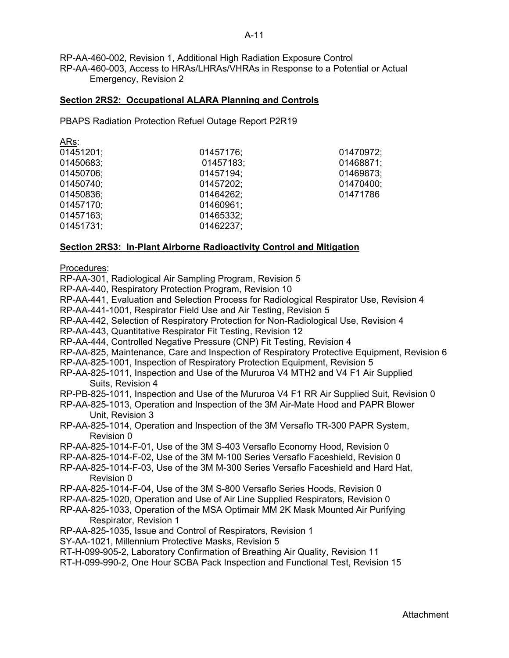A-11

RP-AA-460-002, Revision 1, Additional High Radiation Exposure Control

RP-AA-460-003, Access to HRAs/LHRAs/VHRAs in Response to a Potential or Actual Emergency, Revision 2

## **Section 2RS2: Occupational ALARA Planning and Controls**

PBAPS Radiation Protection Refuel Outage Report P2R19

| ARS:      |           |           |
|-----------|-----------|-----------|
| 01451201; | 01457176; | 01470972; |
| 01450683; | 01457183: | 01468871; |
| 01450706; | 01457194; | 01469873; |
| 01450740; | 01457202; | 01470400; |
| 01450836; | 01464262; | 01471786  |
| 01457170; | 01460961; |           |
| 01457163; | 01465332; |           |
| 01451731; | 01462237; |           |
|           |           |           |

### **Section 2RS3: In-Plant Airborne Radioactivity Control and Mitigation**

Procedures:

 $\overline{a}$ 

RP-AA-301, Radiological Air Sampling Program, Revision 5

- RP-AA-440, Respiratory Protection Program, Revision 10
- RP-AA-441, Evaluation and Selection Process for Radiological Respirator Use, Revision 4
- RP-AA-441-1001, Respirator Field Use and Air Testing, Revision 5
- RP-AA-442, Selection of Respiratory Protection for Non-Radiological Use, Revision 4
- RP-AA-443, Quantitative Respirator Fit Testing, Revision 12
- RP-AA-444, Controlled Negative Pressure (CNP) Fit Testing, Revision 4
- RP-AA-825, Maintenance, Care and Inspection of Respiratory Protective Equipment, Revision 6
- RP-AA-825-1001, Inspection of Respiratory Protection Equipment, Revision 5
- RP-AA-825-1011, Inspection and Use of the Mururoa V4 MTH2 and V4 F1 Air Supplied Suits, Revision 4
- RP-PB-825-1011, Inspection and Use of the Mururoa V4 F1 RR Air Supplied Suit, Revision 0

RP-AA-825-1013, Operation and Inspection of the 3M Air-Mate Hood and PAPR Blower Unit, Revision 3

- RP-AA-825-1014, Operation and Inspection of the 3M Versaflo TR-300 PAPR System, Revision 0
- RP-AA-825-1014-F-01, Use of the 3M S-403 Versaflo Economy Hood, Revision 0
- RP-AA-825-1014-F-02, Use of the 3M M-100 Series Versaflo Faceshield, Revision 0
- RP-AA-825-1014-F-03, Use of the 3M M-300 Series Versaflo Faceshield and Hard Hat, Revision 0
- RP-AA-825-1014-F-04, Use of the 3M S-800 Versaflo Series Hoods, Revision 0
- RP-AA-825-1020, Operation and Use of Air Line Supplied Respirators, Revision 0
- RP-AA-825-1033, Operation of the MSA Optimair MM 2K Mask Mounted Air Purifying Respirator, Revision 1
- RP-AA-825-1035, Issue and Control of Respirators, Revision 1
- SY-AA-1021, Millennium Protective Masks, Revision 5
- RT-H-099-905-2, Laboratory Confirmation of Breathing Air Quality, Revision 11
- RT-H-099-990-2, One Hour SCBA Pack Inspection and Functional Test, Revision 15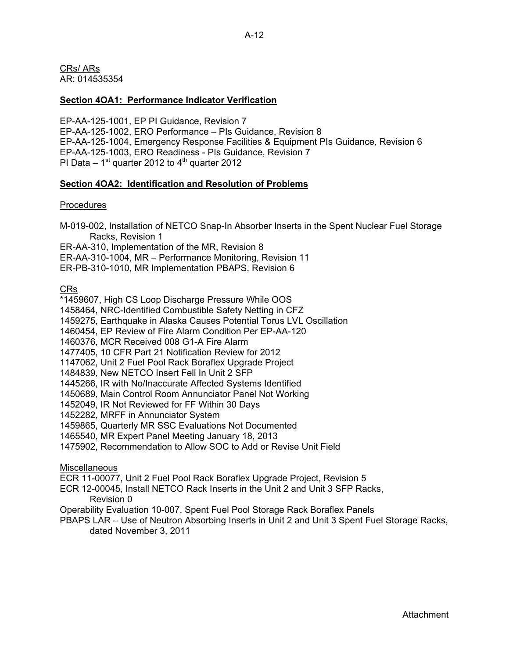CRs/ ARs AR: 014535354

# **Section 4OA1: Performance Indicator Verification**

EP-AA-125-1001, EP PI Guidance, Revision 7 EP-AA-125-1002, ERO Performance – PIs Guidance, Revision 8 EP-AA-125-1004, Emergency Response Facilities & Equipment PIs Guidance, Revision 6 EP-AA-125-1003, ERO Readiness - PIs Guidance, Revision 7 PI Data –  $1<sup>st</sup>$  quarter 2012 to  $4<sup>th</sup>$  quarter 2012

# **Section 4OA2: Identification and Resolution of Problems**

## **Procedures**

M-019-002, Installation of NETCO Snap-In Absorber Inserts in the Spent Nuclear Fuel Storage Racks, Revision 1

ER-AA-310, Implementation of the MR, Revision 8

ER-AA-310-1004, MR – Performance Monitoring, Revision 11

ER-PB-310-1010, MR Implementation PBAPS, Revision 6

CRs

\*1459607, High CS Loop Discharge Pressure While OOS

1458464, NRC-Identified Combustible Safety Netting in CFZ

1459275, Earthquake in Alaska Causes Potential Torus LVL Oscillation

1460454, EP Review of Fire Alarm Condition Per EP-AA-120

1460376, MCR Received 008 G1-A Fire Alarm

1477405, 10 CFR Part 21 Notification Review for 2012

1147062, Unit 2 Fuel Pool Rack Boraflex Upgrade Project

1484839, New NETCO Insert Fell In Unit 2 SFP

1445266, IR with No/Inaccurate Affected Systems Identified

1450689, Main Control Room Annunciator Panel Not Working

1452049, IR Not Reviewed for FF Within 30 Days

1452282, MRFF in Annunciator System

1459865, Quarterly MR SSC Evaluations Not Documented

1465540, MR Expert Panel Meeting January 18, 2013

1475902, Recommendation to Allow SOC to Add or Revise Unit Field

**Miscellaneous** 

ECR 11-00077, Unit 2 Fuel Pool Rack Boraflex Upgrade Project, Revision 5

ECR 12-00045, Install NETCO Rack Inserts in the Unit 2 and Unit 3 SFP Racks, Revision 0

Operability Evaluation 10-007, Spent Fuel Pool Storage Rack Boraflex Panels

PBAPS LAR – Use of Neutron Absorbing Inserts in Unit 2 and Unit 3 Spent Fuel Storage Racks, dated November 3, 2011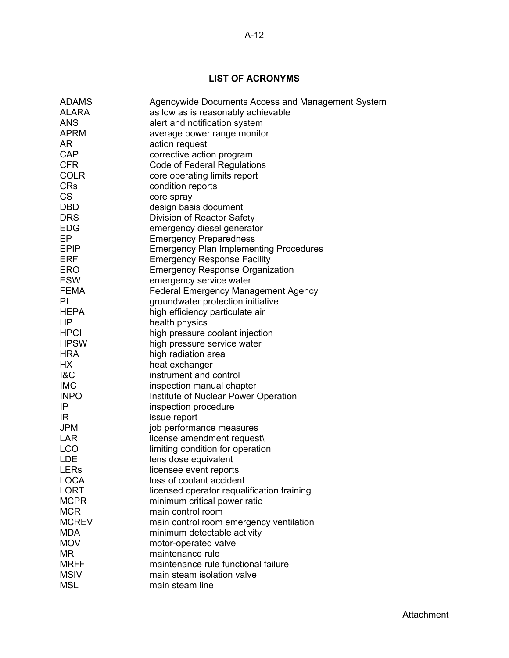# **LIST OF ACRONYMS**

| <b>ADAMS</b>   | Agencywide Documents Access and Management System |
|----------------|---------------------------------------------------|
| <b>ALARA</b>   | as low as is reasonably achievable                |
| <b>ANS</b>     | alert and notification system                     |
| APRM           | average power range monitor                       |
| AR             | action request                                    |
| <b>CAP</b>     | corrective action program                         |
| <b>CFR</b>     | <b>Code of Federal Regulations</b>                |
| <b>COLR</b>    | core operating limits report                      |
| <b>CRs</b>     | condition reports                                 |
| <b>CS</b>      | core spray                                        |
| <b>DBD</b>     | design basis document                             |
| <b>DRS</b>     | Division of Reactor Safety                        |
| <b>EDG</b>     | emergency diesel generator                        |
| EP             | <b>Emergency Preparedness</b>                     |
| <b>EPIP</b>    | <b>Emergency Plan Implementing Procedures</b>     |
| <b>ERF</b>     | <b>Emergency Response Facility</b>                |
| <b>ERO</b>     | <b>Emergency Response Organization</b>            |
| <b>ESW</b>     | emergency service water                           |
| <b>FEMA</b>    | <b>Federal Emergency Management Agency</b>        |
| PI             | groundwater protection initiative                 |
| <b>HEPA</b>    | high efficiency particulate air                   |
| <b>HP</b>      | health physics                                    |
| <b>HPCI</b>    | high pressure coolant injection                   |
| <b>HPSW</b>    | high pressure service water                       |
| <b>HRA</b>     | high radiation area                               |
| <b>HX</b>      | heat exchanger                                    |
| <b>1&amp;C</b> | instrument and control                            |
| <b>IMC</b>     | inspection manual chapter                         |
| <b>INPO</b>    | Institute of Nuclear Power Operation              |
| IP             | inspection procedure                              |
| IR.            | issue report                                      |
| <b>JPM</b>     | job performance measures                          |
| LAR            | license amendment request\                        |
| LCO            | limiting condition for operation                  |
| <b>LDE</b>     | lens dose equivalent                              |
| <b>LERs</b>    | licensee event reports                            |
| <b>LOCA</b>    | loss of coolant accident                          |
| LORT           | licensed operator requalification training        |
| <b>MCPR</b>    | minimum critical power ratio                      |
| <b>MCR</b>     | main control room                                 |
| <b>MCREV</b>   | main control room emergency ventilation           |
| MDA            | minimum detectable activity                       |
| <b>MOV</b>     | motor-operated valve                              |
| ΜR             | maintenance rule                                  |
| <b>MRFF</b>    | maintenance rule functional failure               |
| <b>MSIV</b>    | main steam isolation valve                        |
| <b>MSL</b>     | main steam line                                   |
|                |                                                   |